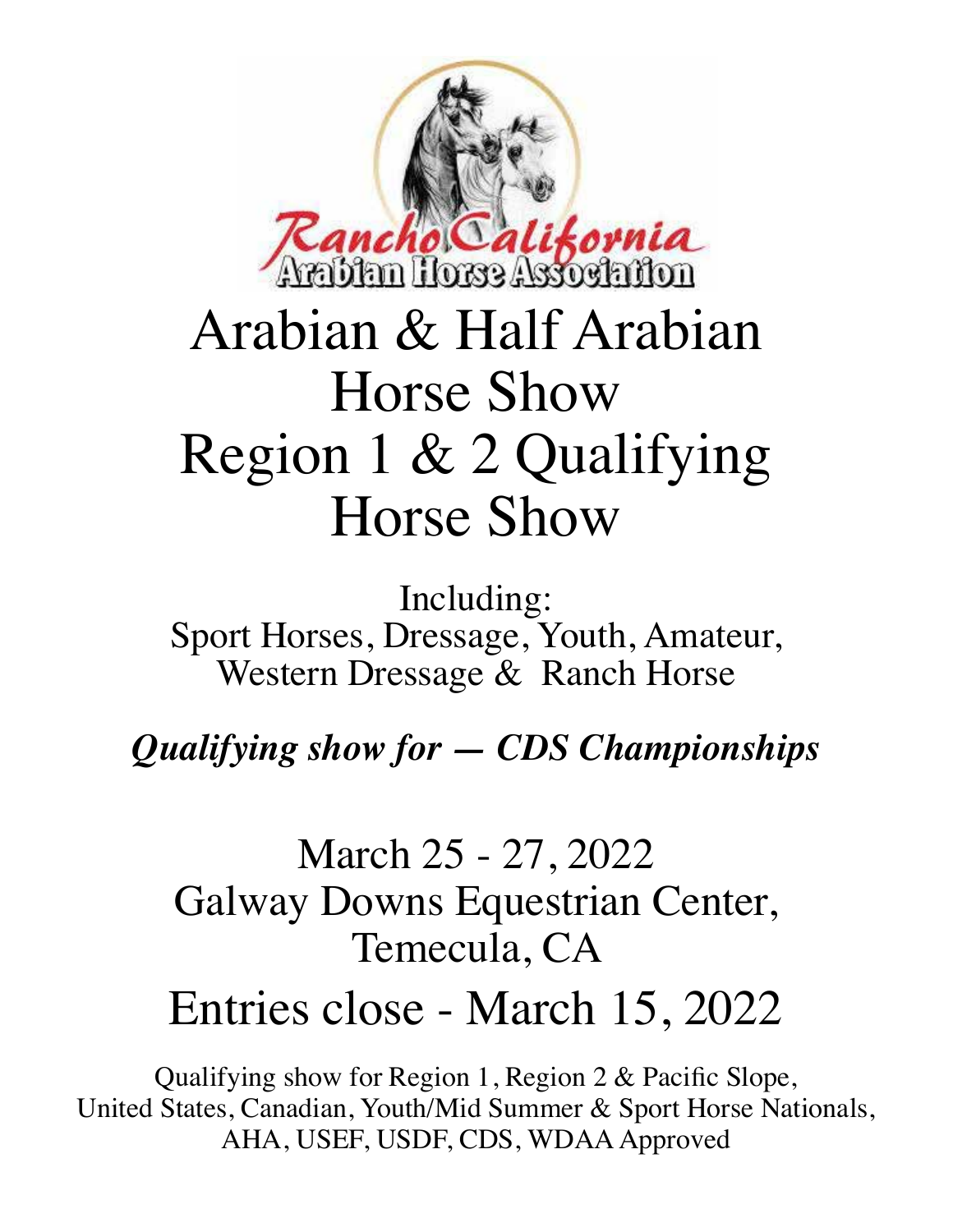

# Arabian & Half Arabian Horse Show Region 1 & 2 Qualifying Horse Show

Including: Sport Horses, Dressage, Youth, Amateur, Western Dressage & Ranch Horse

*Qualifying show for — CDS Championships*

# March 25 - 27, 2022 Galway Downs Equestrian Center, Temecula, CA

# Entries close - March 15, 2022

Qualifying show for Region 1, Region 2 & Pacific Slope, United States, Canadian, Youth/Mid Summer & Sport Horse Nationals, AHA, USEF, USDF, CDS, WDAA Approved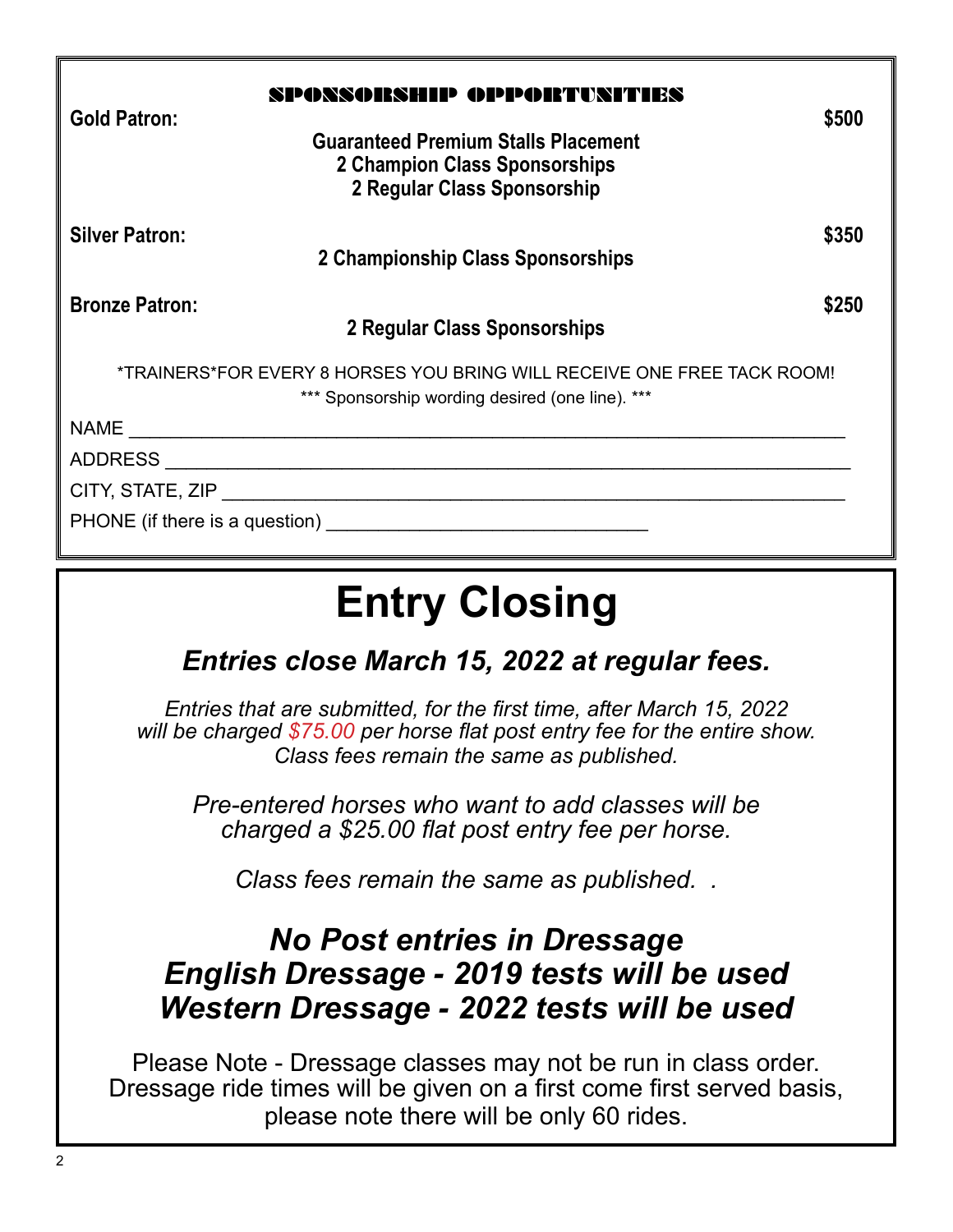| <b>Gold Patron:</b>   | SPOSSORSHIP OPPORTUSITIES<br><b>Guaranteed Premium Stalls Placement</b><br>2 Champion Class Sponsorships<br>2 Regular Class Sponsorship                                                                                        | \$500 |
|-----------------------|--------------------------------------------------------------------------------------------------------------------------------------------------------------------------------------------------------------------------------|-------|
| <b>Silver Patron:</b> | 2 Championship Class Sponsorships                                                                                                                                                                                              | \$350 |
| <b>Bronze Patron:</b> | 2 Regular Class Sponsorships                                                                                                                                                                                                   | \$250 |
|                       | *TRAINERS*FOR EVERY 8 HORSES YOU BRING WILL RECEIVE ONE FREE TACK ROOM!<br>*** Sponsorship wording desired (one line). ***                                                                                                     |       |
|                       |                                                                                                                                                                                                                                |       |
|                       |                                                                                                                                                                                                                                |       |
|                       |                                                                                                                                                                                                                                |       |
|                       | PHONE (if there is a question) example a set of the set of the set of the set of the set of the set of the set of the set of the set of the set of the set of the set of the set of the set of the set of the set of the set o |       |

# **Entry Closing**

*Entries close March 15, 2022 at regular fees.*

*Entries that are submitted, for the first time, after March 15, 2022 will be charged \$75.00 per horse flat post entry fee for the entire show. Class fees remain the same as published.*

*Pre-entered horses who want to add classes will be charged a \$25.00 flat post entry fee per horse.*

*Class fees remain the same as published. .*

## *No Post entries in Dressage English Dressage - 2019 tests will be used Western Dressage - 2022 tests will be used*

Please Note - Dressage classes may not be run in class order. Dressage ride times will be given on a first come first served basis, please note there will be only 60 rides.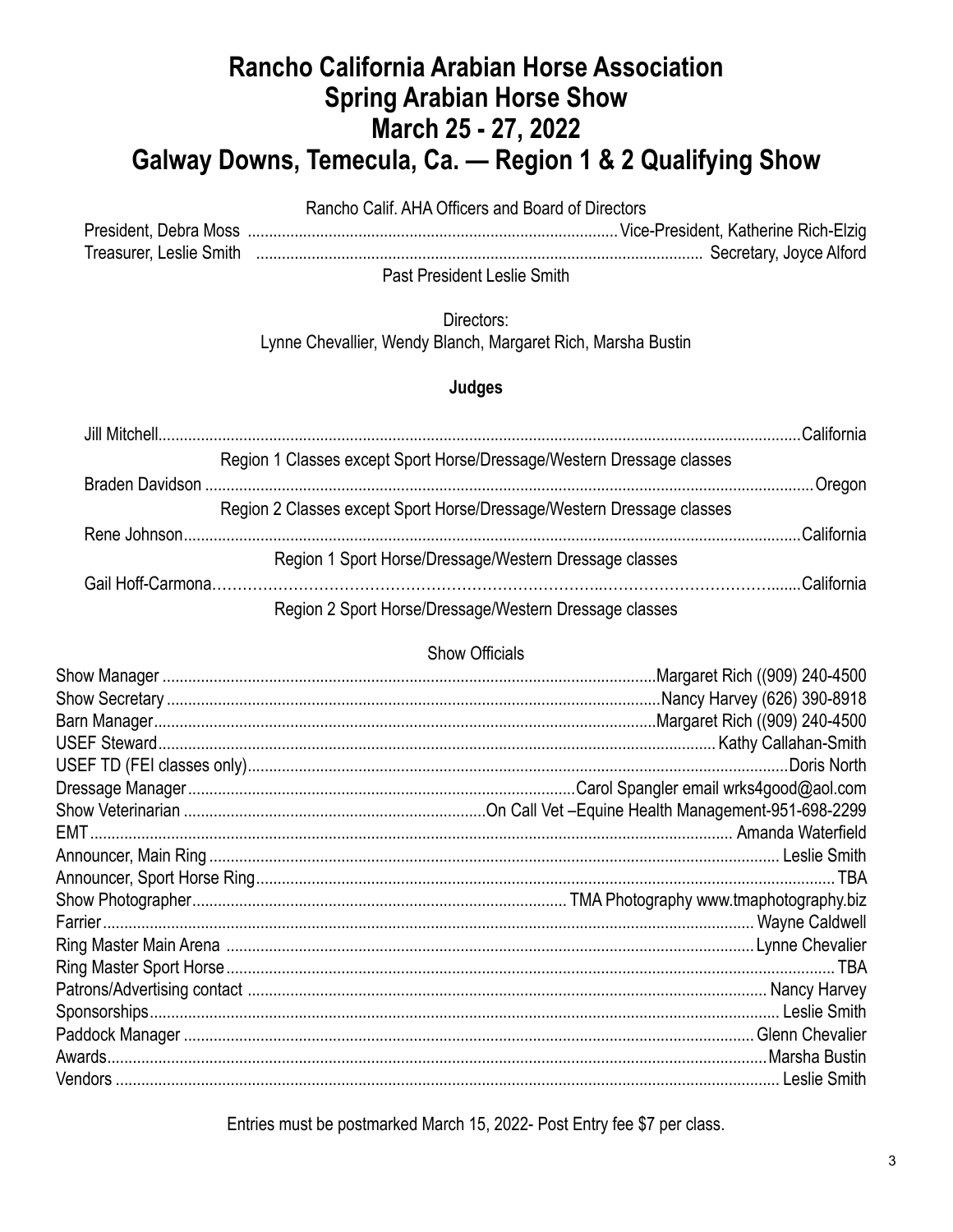## Rancho California Arabian Horse Association **Spring Arabian Horse Show** March 25 - 27, 2022 Galway Downs, Temecula, Ca. - Region 1 & 2 Qualifying Show

Rancho Calif. AHA Officers and Board of Directors

Past President Leslie Smith

> Directors: Lynne Chevallier, Wendy Blanch, Margaret Rich, Marsha Bustin

### Judges

|                                                                       | California |
|-----------------------------------------------------------------------|------------|
| Region 1 Classes except Sport Horse/Dressage/Western Dressage classes |            |
|                                                                       | Oregon     |
| Region 2 Classes except Sport Horse/Dressage/Western Dressage classes |            |
|                                                                       | California |
| Region 1 Sport Horse/Dressage/Western Dressage classes                |            |
|                                                                       | California |
| Region 2 Sport Horse/Dressage/Western Dressage classes                |            |

### Show Officials

Entries must be postmarked March 15, 2022- Post Entry fee \$7 per class.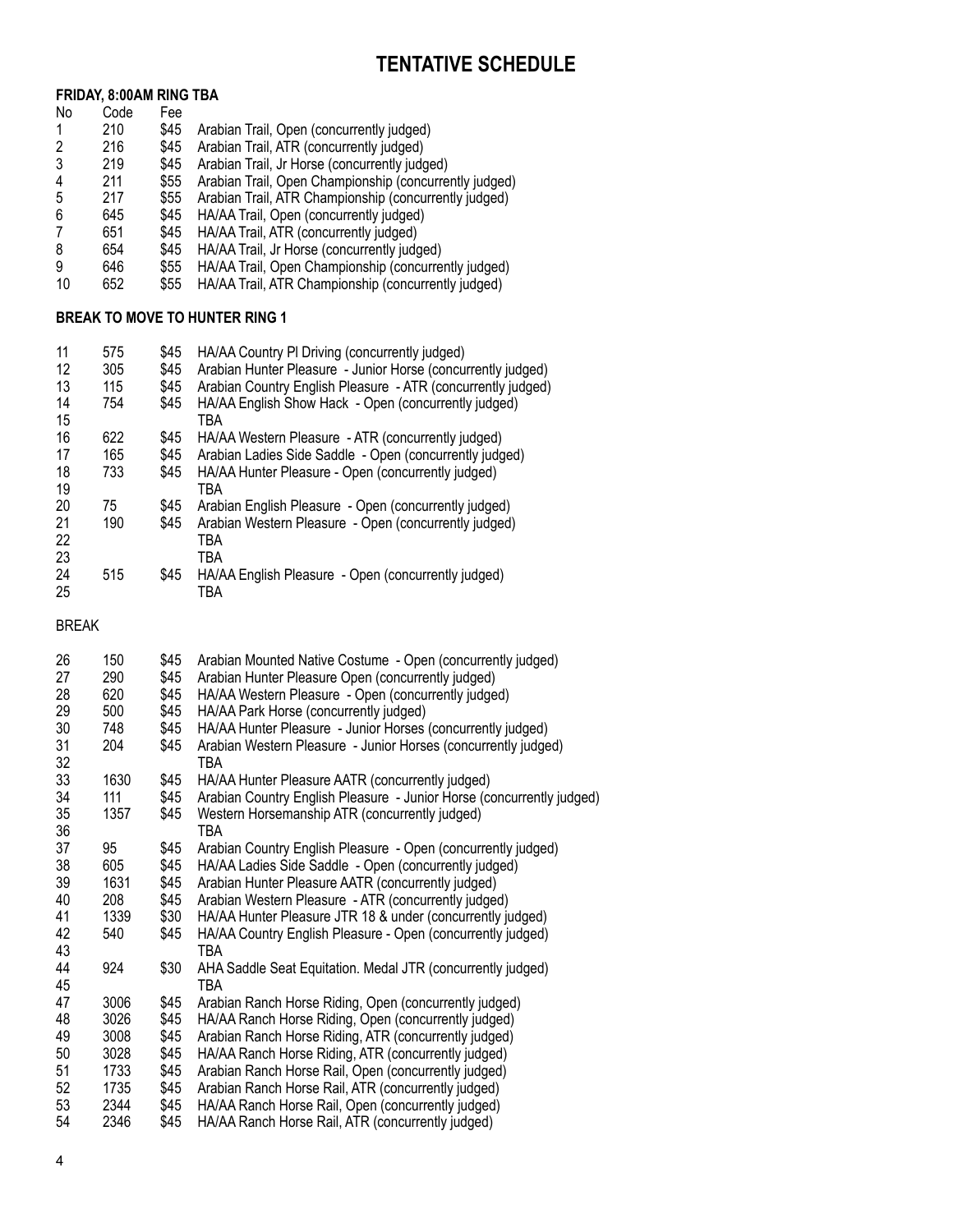## **Tentative Schedule**

#### **FRIDAY, 8:00AM RING TBA**

| No | Code | Fee  |                                                        |
|----|------|------|--------------------------------------------------------|
|    | 210  | \$45 | Arabian Trail, Open (concurrently judged)              |
|    | 216  | \$45 | Arabian Trail, ATR (concurrently judged)               |
| 3  | 219  | \$45 | Arabian Trail, Jr Horse (concurrently judged)          |
| 4  | 211  | \$55 | Arabian Trail, Open Championship (concurrently judged) |
| 5  | 217  | \$55 | Arabian Trail, ATR Championship (concurrently judged)  |
| 6  | 645  | \$45 | HA/AA Trail, Open (concurrently judged)                |
|    | 651  | \$45 | HA/AA Trail, ATR (concurrently judged)                 |
| 8  | 654  | \$45 | HA/AA Trail, Jr Horse (concurrently judged)            |
| 9  | 646  | \$55 | HA/AA Trail, Open Championship (concurrently judged)   |
| 10 | 652  | \$55 | HA/AA Trail, ATR Championship (concurrently judged)    |

#### **BREAK TO MOVE TO HUNTER RING 1**

| 11       | 575 | \$45 | HA/AA Country PI Driving (concurrently judged)               |
|----------|-----|------|--------------------------------------------------------------|
| 12       | 305 | \$45 | Arabian Hunter Pleasure - Junior Horse (concurrently judged) |
| 13       | 115 | \$45 | Arabian Country English Pleasure - ATR (concurrently judged) |
| 14<br>15 | 754 | \$45 | HA/AA English Show Hack - Open (concurrently judged)<br>TBA  |
| 16       | 622 | \$45 | HA/AA Western Pleasure - ATR (concurrently judged)           |
| 17       | 165 | \$45 | Arabian Ladies Side Saddle - Open (concurrently judged)      |
| 18<br>19 | 733 | \$45 | HA/AA Hunter Pleasure - Open (concurrently judged)<br>TBA    |
| 20       | 75  | \$45 | Arabian English Pleasure - Open (concurrently judged)        |
| 21       | 190 | \$45 | Arabian Western Pleasure - Open (concurrently judged)        |
| 22       |     |      | <b>TBA</b>                                                   |
| 23       |     |      | TBA                                                          |
| 24<br>25 | 515 | \$45 | HA/AA English Pleasure - Open (concurrently judged)<br>TBA   |

BREAK

| 26 | 150  | \$45 | Arabian Mounted Native Costume - Open (concurrently judged)           |
|----|------|------|-----------------------------------------------------------------------|
| 27 | 290  | \$45 | Arabian Hunter Pleasure Open (concurrently judged)                    |
| 28 | 620  | \$45 | HA/AA Western Pleasure - Open (concurrently judged)                   |
| 29 | 500  | \$45 | HA/AA Park Horse (concurrently judged)                                |
| 30 | 748  | \$45 | HA/AA Hunter Pleasure - Junior Horses (concurrently judged)           |
| 31 | 204  | \$45 | Arabian Western Pleasure - Junior Horses (concurrently judged)        |
| 32 |      |      | TBA                                                                   |
| 33 | 1630 | \$45 | HA/AA Hunter Pleasure AATR (concurrently judged)                      |
| 34 | 111  | \$45 | Arabian Country English Pleasure - Junior Horse (concurrently judged) |
| 35 | 1357 | \$45 | Western Horsemanship ATR (concurrently judged)                        |
| 36 |      |      | TBA                                                                   |
| 37 | 95   | \$45 | Arabian Country English Pleasure - Open (concurrently judged)         |
| 38 | 605  | \$45 | HA/AA Ladies Side Saddle - Open (concurrently judged)                 |
| 39 | 1631 | \$45 | Arabian Hunter Pleasure AATR (concurrently judged)                    |
| 40 | 208  | \$45 | Arabian Western Pleasure - ATR (concurrently judged)                  |
| 41 | 1339 | \$30 | HA/AA Hunter Pleasure JTR 18 & under (concurrently judged)            |
| 42 | 540  | \$45 | HA/AA Country English Pleasure - Open (concurrently judged)           |
| 43 |      |      | <b>TBA</b>                                                            |
| 44 | 924  | \$30 | AHA Saddle Seat Equitation. Medal JTR (concurrently judged)           |
| 45 |      |      | <b>TBA</b>                                                            |
| 47 | 3006 | \$45 | Arabian Ranch Horse Riding, Open (concurrently judged)                |
| 48 | 3026 | \$45 | HA/AA Ranch Horse Riding, Open (concurrently judged)                  |
| 49 | 3008 | \$45 | Arabian Ranch Horse Riding, ATR (concurrently judged)                 |
| 50 | 3028 | \$45 | HA/AA Ranch Horse Riding, ATR (concurrently judged)                   |
| 51 | 1733 | \$45 | Arabian Ranch Horse Rail, Open (concurrently judged)                  |
| 52 | 1735 | \$45 | Arabian Ranch Horse Rail, ATR (concurrently judged)                   |
| 53 | 2344 | \$45 | HA/AA Ranch Horse Rail, Open (concurrently judged)                    |
| 54 | 2346 | \$45 | HA/AA Ranch Horse Rail, ATR (concurrently judged)                     |
|    |      |      |                                                                       |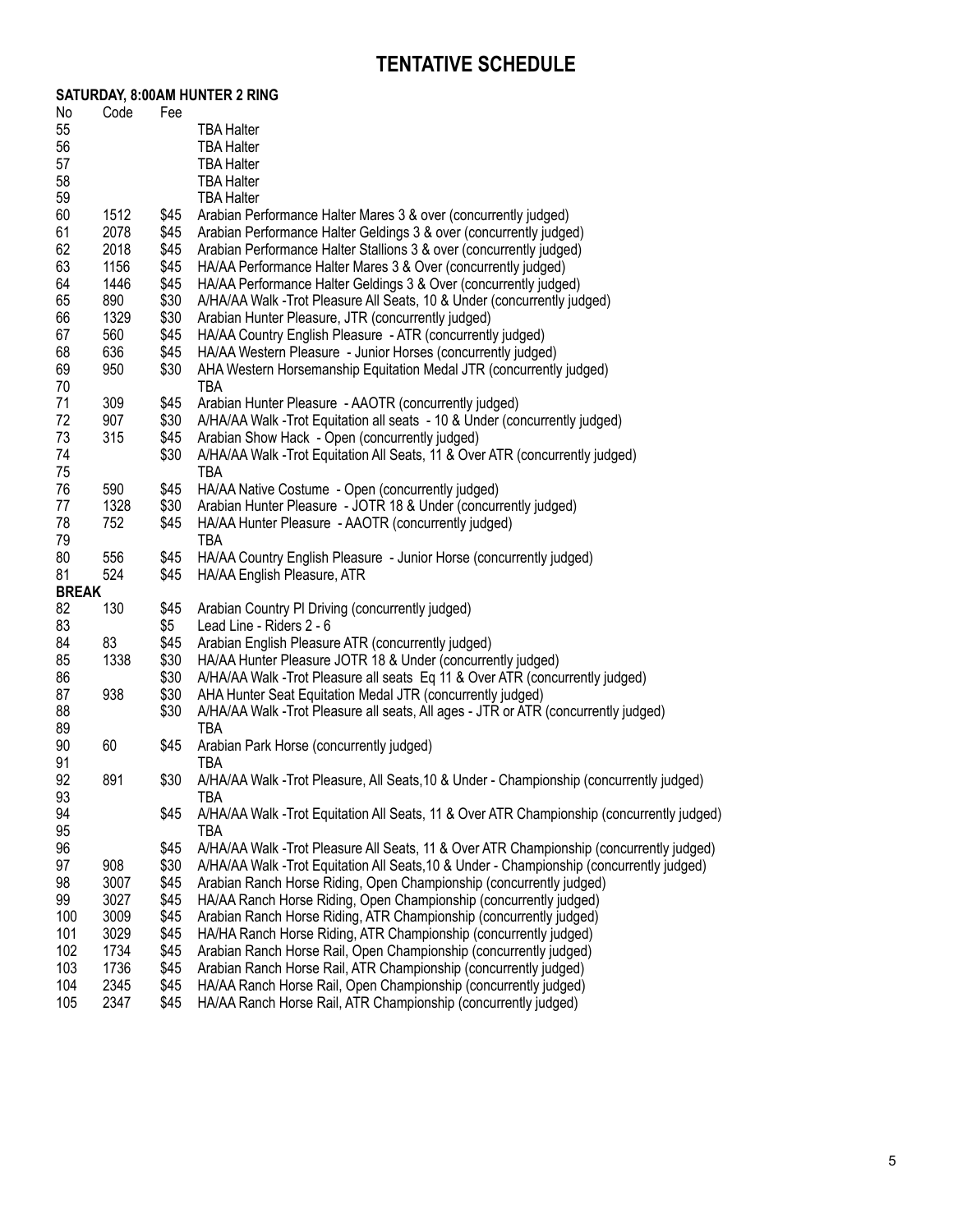## **Tentative Schedule**

|                    |             |      | SATURDAY, 8:00AM HUNTER 2 RING                                                                                       |
|--------------------|-------------|------|----------------------------------------------------------------------------------------------------------------------|
| No                 | Code        | Fee  |                                                                                                                      |
| 55                 |             |      | <b>TBA Halter</b>                                                                                                    |
| 56                 |             |      | <b>TBA Halter</b>                                                                                                    |
| 57                 |             |      | <b>TBA Halter</b>                                                                                                    |
| 58                 |             |      | <b>TBA Halter</b>                                                                                                    |
| 59                 |             |      | <b>TBA Halter</b>                                                                                                    |
| 60                 | 1512        | \$45 | Arabian Performance Halter Mares 3 & over (concurrently judged)                                                      |
| 61                 | 2078        | \$45 | Arabian Performance Halter Geldings 3 & over (concurrently judged)                                                   |
| 62                 | 2018        | \$45 | Arabian Performance Halter Stallions 3 & over (concurrently judged)                                                  |
| 63                 | 1156        | \$45 | HA/AA Performance Halter Mares 3 & Over (concurrently judged)                                                        |
| 64                 | 1446        | \$45 | HA/AA Performance Halter Geldings 3 & Over (concurrently judged)                                                     |
| 65                 | 890         | \$30 | A/HA/AA Walk -Trot Pleasure All Seats, 10 & Under (concurrently judged)                                              |
| 66                 | 1329        | \$30 | Arabian Hunter Pleasure, JTR (concurrently judged)                                                                   |
| 67                 | 560         | \$45 | HA/AA Country English Pleasure - ATR (concurrently judged)                                                           |
| 68                 | 636         | \$45 | HA/AA Western Pleasure - Junior Horses (concurrently judged)                                                         |
| 69                 | 950         | \$30 | AHA Western Horsemanship Equitation Medal JTR (concurrently judged)                                                  |
| 70                 |             |      | TBA                                                                                                                  |
| 71                 | 309         | \$45 | Arabian Hunter Pleasure - AAOTR (concurrently judged)                                                                |
| 72                 | 907         | \$30 | A/HA/AA Walk -Trot Equitation all seats - 10 & Under (concurrently judged)                                           |
| 73                 | 315         | \$45 | Arabian Show Hack - Open (concurrently judged)                                                                       |
| 74                 |             | \$30 | A/HA/AA Walk -Trot Equitation All Seats, 11 & Over ATR (concurrently judged)                                         |
| 75                 |             |      | TBA                                                                                                                  |
| 76                 |             |      |                                                                                                                      |
| 77                 | 590<br>1328 | \$45 | HA/AA Native Costume - Open (concurrently judged)<br>Arabian Hunter Pleasure - JOTR 18 & Under (concurrently judged) |
|                    |             | \$30 |                                                                                                                      |
| 78                 | 752         | \$45 | HA/AA Hunter Pleasure - AAOTR (concurrently judged)                                                                  |
| 79                 |             |      | TBA                                                                                                                  |
| 80                 | 556         | \$45 | HA/AA Country English Pleasure - Junior Horse (concurrently judged)                                                  |
| 81<br><b>BREAK</b> | 524         | \$45 | HA/AA English Pleasure, ATR                                                                                          |
| 82                 |             |      |                                                                                                                      |
|                    | 130         | \$45 | Arabian Country PI Driving (concurrently judged)                                                                     |
| 83                 |             | \$5  | Lead Line - Riders 2 - 6                                                                                             |
| 84                 | 83          | \$45 | Arabian English Pleasure ATR (concurrently judged)                                                                   |
| 85                 | 1338        | \$30 | HA/AA Hunter Pleasure JOTR 18 & Under (concurrently judged)                                                          |
| 86                 |             | \$30 | A/HA/AA Walk -Trot Pleasure all seats Eq 11 & Over ATR (concurrently judged)                                         |
| 87                 | 938         | \$30 | AHA Hunter Seat Equitation Medal JTR (concurrently judged)                                                           |
| 88                 |             | \$30 | A/HA/AA Walk - Trot Pleasure all seats, All ages - JTR or ATR (concurrently judged)                                  |
| 89                 |             |      | TBA                                                                                                                  |
| 90                 | 60          | \$45 | Arabian Park Horse (concurrently judged)                                                                             |
| 91                 |             |      | TBA                                                                                                                  |
| 92                 | 891         | \$30 | A/HA/AA Walk -Trot Pleasure, All Seats, 10 & Under - Championship (concurrently judged)                              |
| 93                 |             |      | TBA                                                                                                                  |
| 94                 |             | \$45 | A/HA/AA Walk -Trot Equitation All Seats, 11 & Over ATR Championship (concurrently judged)                            |
| 95                 |             |      | TBA                                                                                                                  |
| 96                 |             | \$45 | A/HA/AA Walk -Trot Pleasure All Seats, 11 & Over ATR Championship (concurrently judged)                              |
| 97                 | 908         | \$30 | A/HA/AA Walk -Trot Equitation All Seats, 10 & Under - Championship (concurrently judged)                             |
| 98                 | 3007        | \$45 | Arabian Ranch Horse Riding, Open Championship (concurrently judged)                                                  |
| 99                 | 3027        | \$45 | HA/AA Ranch Horse Riding, Open Championship (concurrently judged)                                                    |
| 100                | 3009        | \$45 | Arabian Ranch Horse Riding, ATR Championship (concurrently judged)                                                   |
| 101                | 3029        | \$45 | HA/HA Ranch Horse Riding, ATR Championship (concurrently judged)                                                     |
| 102                | 1734        | \$45 | Arabian Ranch Horse Rail, Open Championship (concurrently judged)                                                    |
| 103                | 1736        | \$45 | Arabian Ranch Horse Rail, ATR Championship (concurrently judged)                                                     |
| 104                | 2345        | \$45 | HA/AA Ranch Horse Rail, Open Championship (concurrently judged)                                                      |
| 105                | 2347        | \$45 | HA/AA Ranch Horse Rail, ATR Championship (concurrently judged)                                                       |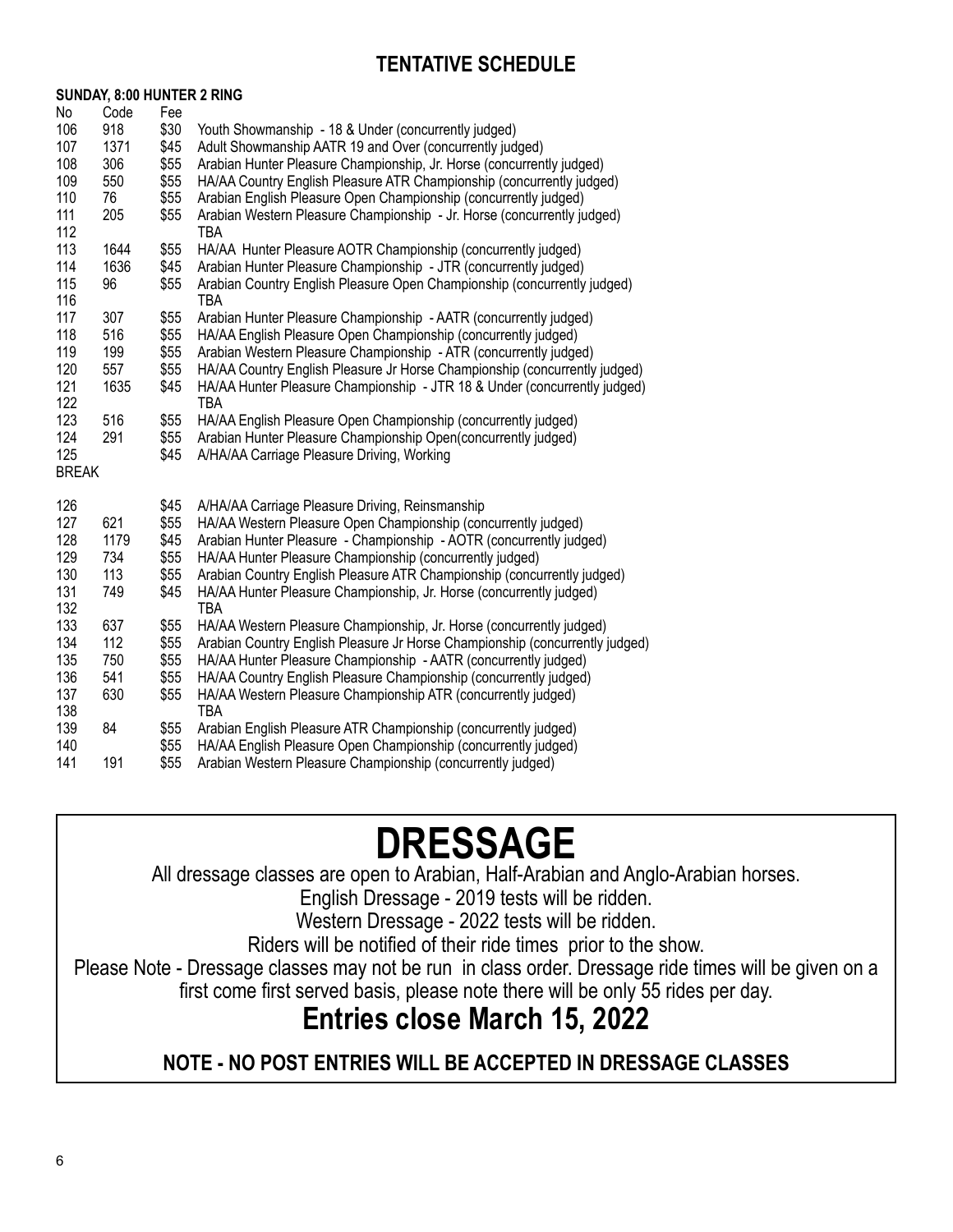## **Tentative Schedule**

|              | SUNDAY, 8:00 HUNTER 2 RING |      |                                                                              |
|--------------|----------------------------|------|------------------------------------------------------------------------------|
| No           | Code                       | Fee  |                                                                              |
| 106          | 918                        | \$30 | Youth Showmanship - 18 & Under (concurrently judged)                         |
| 107          | 1371                       | \$45 | Adult Showmanship AATR 19 and Over (concurrently judged)                     |
| 108          | 306                        | \$55 | Arabian Hunter Pleasure Championship, Jr. Horse (concurrently judged)        |
| 109          | 550                        | \$55 | HA/AA Country English Pleasure ATR Championship (concurrently judged)        |
| 110          | 76                         | \$55 | Arabian English Pleasure Open Championship (concurrently judged)             |
| 111          | 205                        | \$55 | Arabian Western Pleasure Championship - Jr. Horse (concurrently judged)      |
| 112          |                            |      | <b>TBA</b>                                                                   |
| 113          | 1644                       | \$55 | HA/AA Hunter Pleasure AOTR Championship (concurrently judged)                |
| 114          | 1636                       | \$45 | Arabian Hunter Pleasure Championship - JTR (concurrently judged)             |
| 115          | 96                         | \$55 | Arabian Country English Pleasure Open Championship (concurrently judged)     |
| 116          |                            |      | <b>TBA</b>                                                                   |
| 117          | 307                        | \$55 | Arabian Hunter Pleasure Championship - AATR (concurrently judged)            |
| 118          | 516                        | \$55 | HA/AA English Pleasure Open Championship (concurrently judged)               |
| 119          | 199                        | \$55 | Arabian Western Pleasure Championship - ATR (concurrently judged)            |
| 120          | 557                        | \$55 | HA/AA Country English Pleasure Jr Horse Championship (concurrently judged)   |
| 121          | 1635                       | \$45 | HA/AA Hunter Pleasure Championship - JTR 18 & Under (concurrently judged)    |
| 122          |                            |      | TBA                                                                          |
| 123          | 516                        | \$55 | HA/AA English Pleasure Open Championship (concurrently judged)               |
| 124          | 291                        | \$55 | Arabian Hunter Pleasure Championship Open(concurrently judged)               |
| 125          |                            | \$45 | A/HA/AA Carriage Pleasure Driving, Working                                   |
| <b>BREAK</b> |                            |      |                                                                              |
|              |                            |      |                                                                              |
| 126          |                            | \$45 | A/HA/AA Carriage Pleasure Driving, Reinsmanship                              |
| 127          | 621                        | \$55 | HA/AA Western Pleasure Open Championship (concurrently judged)               |
| 128          | 1179                       | \$45 | Arabian Hunter Pleasure - Championship - AOTR (concurrently judged)          |
| 129          | 734                        | \$55 | HA/AA Hunter Pleasure Championship (concurrently judged)                     |
| 130          | 113                        | \$55 | Arabian Country English Pleasure ATR Championship (concurrently judged)      |
| 131          | 749                        | \$45 | HA/AA Hunter Pleasure Championship, Jr. Horse (concurrently judged)          |
| 132          |                            |      | <b>TBA</b>                                                                   |
| 133          | 637                        | \$55 | HA/AA Western Pleasure Championship, Jr. Horse (concurrently judged)         |
| 134          | 112                        | \$55 | Arabian Country English Pleasure Jr Horse Championship (concurrently judged) |
| 135          | 750                        | \$55 | HA/AA Hunter Pleasure Championship - AATR (concurrently judged)              |
| 136          | 541                        | \$55 | HA/AA Country English Pleasure Championship (concurrently judged)            |
| 137          | 630                        | \$55 | HA/AA Western Pleasure Championship ATR (concurrently judged)                |
| 138          |                            |      | <b>TBA</b>                                                                   |
| 139          | 84                         | \$55 | Arabian English Pleasure ATR Championship (concurrently judged)              |
| 140          |                            | \$55 | HA/AA English Pleasure Open Championship (concurrently judged)               |
| 141          | 191                        | \$55 | Arabian Western Pleasure Championship (concurrently judged)                  |

**SUNDay, 8:00 Hunter 2 Ring**

# **Dressage**

All dressage classes are open to Arabian, Half-Arabian and Anglo-Arabian horses.

English Dressage - 2019 tests will be ridden.

Western Dressage - 2022 tests will be ridden.

Riders will be notified of their ride times prior to the show.

Please Note - Dressage classes may not be run in class order. Dressage ride times will be given on a first come first served basis, please note there will be only 55 rides per day.

## **Entries close March 15, 2022**

**NOTE - NO POST ENTRIES WILL BE ACCEPTED IN DRESSAGE CLASSES**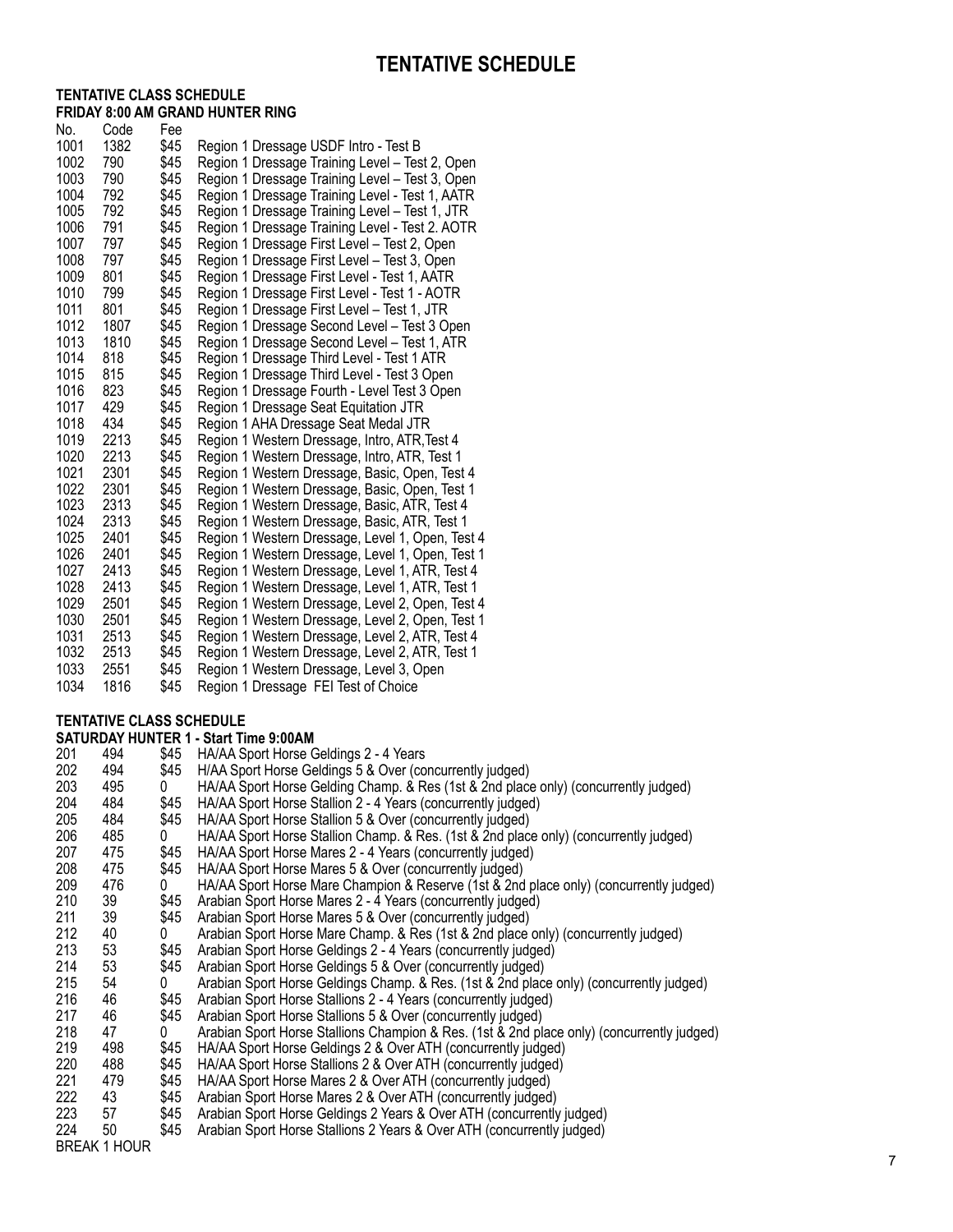#### **Tentative Class Schedu l e Friday 8:00 AM Grand Hunter Ring**

|              |                                 |              | <b>TENTATIVE SCHEDULE</b>                                                                                                         |
|--------------|---------------------------------|--------------|-----------------------------------------------------------------------------------------------------------------------------------|
|              | <b>TENTATIVE CLASS SCHEDULE</b> |              |                                                                                                                                   |
|              |                                 |              | <b>FRIDAY 8:00 AM GRAND HUNTER RING</b>                                                                                           |
| No.          | Code                            | Fee          |                                                                                                                                   |
| 1001<br>1002 | 1382<br>790                     | \$45<br>\$45 | Region 1 Dressage USDF Intro - Test B                                                                                             |
| 1003         | 790                             | \$45         | Region 1 Dressage Training Level - Test 2, Open<br>Region 1 Dressage Training Level - Test 3, Open                                |
| 1004         | 792                             | \$45         | Region 1 Dressage Training Level - Test 1, AATR                                                                                   |
| 1005         | 792                             | \$45         | Region 1 Dressage Training Level - Test 1, JTR                                                                                    |
| 1006         | 791                             | \$45         | Region 1 Dressage Training Level - Test 2. AOTR                                                                                   |
| 1007         | 797                             | \$45         | Region 1 Dressage First Level - Test 2, Open                                                                                      |
| 1008         | 797                             | \$45         | Region 1 Dressage First Level - Test 3, Open                                                                                      |
| 1009         | 801                             | \$45         | Region 1 Dressage First Level - Test 1, AATR                                                                                      |
| 1010         | 799                             | \$45         | Region 1 Dressage First Level - Test 1 - AOTR                                                                                     |
| 1011         | 801                             | \$45         | Region 1 Dressage First Level - Test 1, JTR                                                                                       |
| 1012         | 1807                            | \$45         | Region 1 Dressage Second Level - Test 3 Open                                                                                      |
| 1013         | 1810                            | \$45         | Region 1 Dressage Second Level - Test 1, ATR                                                                                      |
| 1014         | 818                             | \$45         | Region 1 Dressage Third Level - Test 1 ATR                                                                                        |
| 1015<br>1016 | 815<br>823                      | \$45<br>\$45 | Region 1 Dressage Third Level - Test 3 Open                                                                                       |
| 1017         | 429                             | \$45         | Region 1 Dressage Fourth - Level Test 3 Open                                                                                      |
| 1018         | 434                             | \$45         | Region 1 Dressage Seat Equitation JTR<br>Region 1 AHA Dressage Seat Medal JTR                                                     |
| 1019         | 2213                            | \$45         | Region 1 Western Dressage, Intro, ATR, Test 4                                                                                     |
| 1020         | 2213                            | \$45         | Region 1 Western Dressage, Intro, ATR, Test 1                                                                                     |
| 1021         | 2301                            | \$45         | Region 1 Western Dressage, Basic, Open, Test 4                                                                                    |
| 1022         | 2301                            | \$45         | Region 1 Western Dressage, Basic, Open, Test 1                                                                                    |
| 1023         | 2313                            | \$45         | Region 1 Western Dressage, Basic, ATR, Test 4                                                                                     |
| 1024         | 2313                            | \$45         | Region 1 Western Dressage, Basic, ATR, Test 1                                                                                     |
| 1025         | 2401                            | \$45         | Region 1 Western Dressage, Level 1, Open, Test 4                                                                                  |
| 1026         | 2401                            | \$45         | Region 1 Western Dressage, Level 1, Open, Test 1                                                                                  |
| 1027         | 2413                            | \$45         | Region 1 Western Dressage, Level 1, ATR, Test 4                                                                                   |
| 1028         | 2413                            | \$45         | Region 1 Western Dressage, Level 1, ATR, Test 1                                                                                   |
| 1029<br>1030 | 2501<br>2501                    | \$45<br>\$45 | Region 1 Western Dressage, Level 2, Open, Test 4                                                                                  |
| 1031         | 2513                            | \$45         | Region 1 Western Dressage, Level 2, Open, Test 1<br>Region 1 Western Dressage, Level 2, ATR, Test 4                               |
| 1032         | 2513                            | \$45         | Region 1 Western Dressage, Level 2, ATR, Test 1                                                                                   |
| 1033         | 2551                            | \$45         | Region 1 Western Dressage, Level 3, Open                                                                                          |
| 1034         | 1816                            | \$45         | Region 1 Dressage FEI Test of Choice                                                                                              |
|              |                                 |              |                                                                                                                                   |
|              | <b>TENTATIVE CLASS SCHEDULE</b> |              | <b>SATURDAY HUNTER 1 - Start Time 9:00AM</b>                                                                                      |
|              |                                 |              | 201 494 \$45 HA/AA Sport Horse Geldings 2 - 4 Years                                                                               |
| 202          | 494                             | \$45         | H/AA Sport Horse Geldings 5 & Over (concurrently judged)                                                                          |
| 203          | 495                             | 0            | HA/AA Sport Horse Gelding Champ. & Res (1st & 2nd place only) (                                                                   |
| 204          | 484                             | \$45         | HA/AA Sport Horse Stallion 2 - 4 Years (concurrently judged)                                                                      |
| 205          | 484                             | \$45         | HA/AA Sport Horse Stallion 5 & Over (concurrently judged)                                                                         |
| 206          | 485                             | 0            | HA/AA Sport Horse Stallion Champ. & Res. (1st & 2nd place only)                                                                   |
| 207          | 475                             | \$45         | HA/AA Sport Horse Mares 2 - 4 Years (concurrently judged)                                                                         |
| 208          | 475                             | \$45         | HA/AA Sport Horse Mares 5 & Over (concurrently judged)                                                                            |
| 209          | 476                             | 0            | HA/AA Sport Horse Mare Champion & Reserve (1st & 2nd place or                                                                     |
| 210          | 39                              | \$45         | Arabian Sport Horse Mares 2 - 4 Years (concurrently judged)                                                                       |
| 211<br>212   | 39<br>40                        | \$45<br>0    | Arabian Sport Horse Mares 5 & Over (concurrently judged)                                                                          |
| 213          | 53                              | \$45         | Arabian Sport Horse Mare Champ. & Res (1st & 2nd place only) (c<br>Arabian Sport Horse Geldings 2 - 4 Years (concurrently judged) |
| 214          | 53                              | \$45         | Arabian Sport Horse Geldings 5 & Over (concurrently judged)                                                                       |
| 215          | 54                              | 0            | Arabian Sport Horse Geldings Champ. & Res. (1st & 2nd place onl                                                                   |
| 216          | 46                              | \$45         | Arabian Sport Horse Stallions 2 - 4 Years (concurrently judged)                                                                   |
| 217          | 46                              | \$45         | Arabian Sport Horse Stallions 5 & Over (concurrently judged)                                                                      |
| 218          | 47                              | 0            | Arabian Sport Horse Stallions Champion & Res. (1st & 2nd place of                                                                 |
| 219          | 498                             | \$45         | HA/AA Sport Horse Geldings 2 & Over ATH (concurrently judged)                                                                     |
| 220          | 488                             | \$45         | HA/AA Sport Horse Stallions 2 & Over ATH (concurrently judged)                                                                    |
| 221          | 479                             | \$45         | HA/AA Sport Horse Mares 2 & Over ATH (concurrently judged)                                                                        |
| 222          | 43                              | \$45         | Arabian Sport Horse Mares 2 & Over ATH (concurrently judged)                                                                      |
| 223          | 57                              | \$45         | Arabian Sport Horse Geldings 2 Years & Over ATH (concurrently ju                                                                  |
| 224          | 50<br><b>BREAK 1 HOUR</b>       | \$45         | Arabian Sport Horse Stallions 2 Years & Over ATH (concurrently jue                                                                |
|              |                                 |              |                                                                                                                                   |

#### **Tentative Class Schedule**

**SATURDAY HUNTER 1 - Start Time 9:00AM**<br>201 494 \$45 HA/AA Sport Horse Q 201 494 \$45 HA/AA Sport Horse Geldings 2 - 4 Years<br>202 494 \$45 H/AA Sport Horse Geldings 5 & Over (co 202 \$45 H/AA Sport Horse Geldings 5 & Over (concurrently judged)<br>202 6 A/AA Sport Horse Gelding Champ. & Res (1st & 2nd place 203 495 HA/AA Sport Horse Gelding Champ. & Res (1st & 2nd place only) (concurrently judged) 204 484 \$45 HA/AA Sport Horse Stallion 2 - 4 Years (concurrently judged)<br>205 484 \$45 HA/AA Sport Horse Stallion 5 & Over (concurrently judged) 205 484 \$45 HA/AA Sport Horse Stallion 5 & Over (concurrently judged)<br>485 0 HA/AA Sport Horse Stallion Champ. & Res. (1st & 2nd place 206 485 HA/AA Sport Horse Stallion Champ. & Res. (1st & 2nd place only) (concurrently judged) 207 475 \$45 HA/AA Sport Horse Mares 2 - 4 Years (concurrently judged)<br>208 475 \$45 HA/AA Sport Horse Mares 5 & Over (concurrently judged) 475 \$45 HA/AA Sport Horse Mares 5 & Over (concurrently judged)<br>476 0 HA/AA Sport Horse Mare Champion & Reserve (1st & 2nd 209 476<br>210 39 HA/AA Sport Horse Mare Champion & Reserve (1st & 2nd place only) (concurrently judged) 210 39 \$45 Arabian Sport Horse Mares 2 - 4 Years (concurrently judged)<br>211 39 \$45 Arabian Sport Horse Mares 5 & Over (concurrently judged) 20 \$45 Arabian Sport Horse Mares 5 & Over (concurrently judged)<br>20 6 Arabian Sport Horse Mare Champ. & Res (1st & 2nd place 212 40<br>213 53 Arabian Sport Horse Mare Champ. & Res (1st & 2nd place only) (concurrently judged) 213 53 \$45 Arabian Sport Horse Geldings 2 - 4 Years (concurrently judged)<br>214 53 \$45 Arabian Sport Horse Geldings 5 & Over (concurrently judged) 53 \$45 Arabian Sport Horse Geldings 5 & Over (concurrently judged)<br>54 0 Arabian Sport Horse Geldings Champ, & Res. (1st & 2nd place 215 54<br>216 46 Arabian Sport Horse Geldings Champ. & Res. (1st & 2nd place only) (concurrently judged) 216 46 \$45 Arabian Sport Horse Stallions 2 - 4 Years (concurrently judged)<br>217 46 \$45 Arabian Sport Horse Stallions 5 & Over (concurrently judged) 16 \$45 Arabian Sport Horse Stallions 5 & Over (concurrently judged)<br>47 0 Arabian Sport Horse Stallions Champion & Res. (1st & 2nd pl 218 47<br>219 498 Arabian Sport Horse Stallions Champion & Res. (1st & 2nd place only) (concurrently judged) 219 498 \$45 HA/AA Sport Horse Geldings 2 & Over ATH (concurrently judged)<br>220 488 \$45 HA/AA Sport Horse Stallions 2 & Over ATH (concurrently judged) 220 488 \$45 HA/AA Sport Horse Stallions 2 & Over ATH (concurrently judged)<br>221 479 \$45 HA/AA Sport Horse Mares 2 & Over ATH (concurrently judged) 221 479 \$45 HA/AA Sport Horse Mares 2 & Over ATH (concurrently judged)<br>222 43 \$45 Arabian Sport Horse Mares 2 & Over ATH (concurrently judged) 222 43 \$45 Arabian Sport Horse Mares 2 & Over ATH (concurrently judged)<br>223 57 \$45 Arabian Sport Horse Geldings 2 Years & Over ATH (concurrently 223 57 \$45 Arabian Sport Horse Geldings 2 Years & Over ATH (concurrently judged)<br>224 50 \$45 Arabian Sport Horse Stallions 2 Years & Over ATH (concurrently judged) 224 50 \$45 Arabian Sport Horse Stallions 2 Years & Over ATH (concurrently judged)<br>BREAK 1 HOUR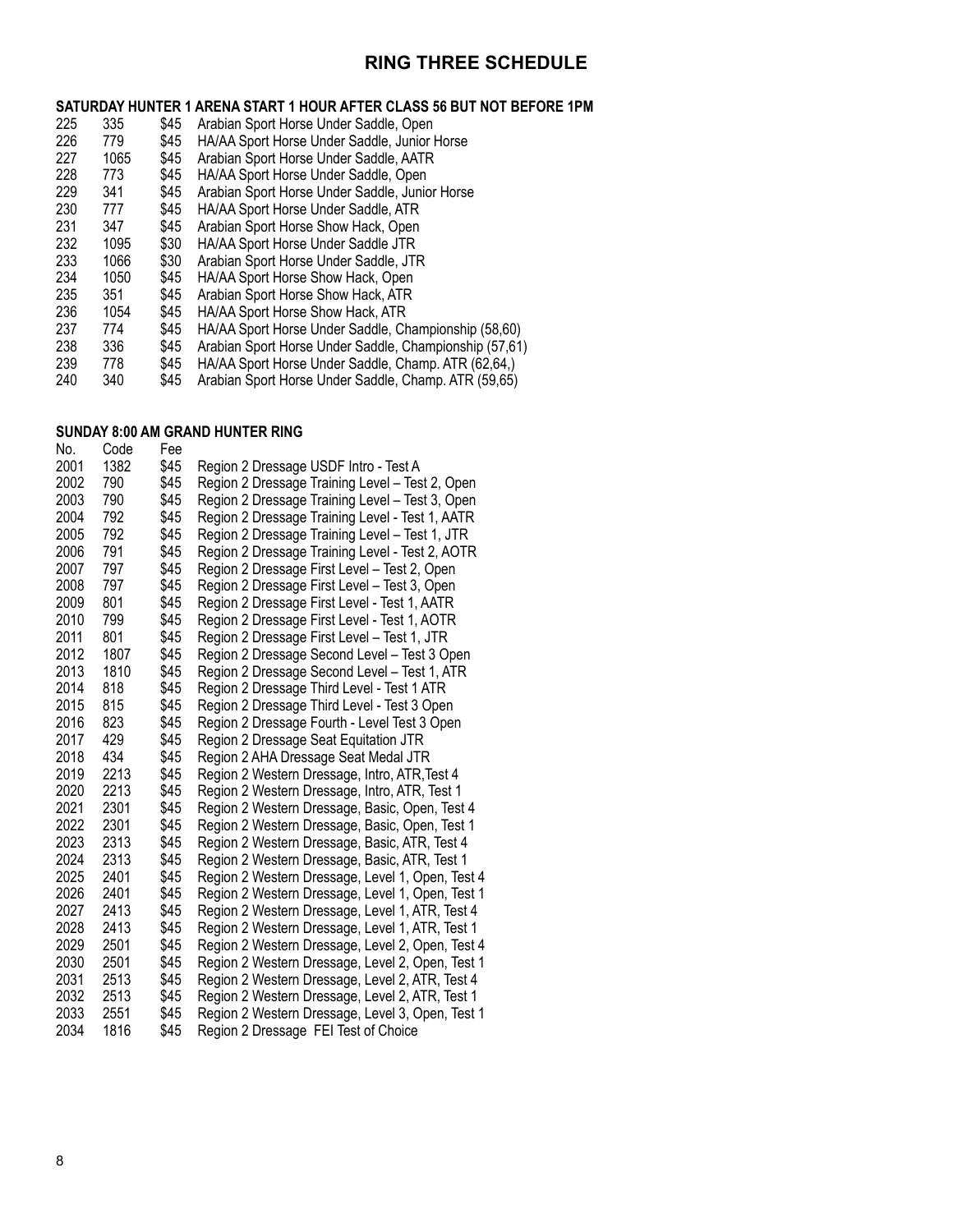## **RING THREE SCHEDULE**

|     |      |      | SATURDAY HUNTER 1 ARENA START 1 HOUR AFTER CLASS 56 BUT NOT BEFORE 1PM |
|-----|------|------|------------------------------------------------------------------------|
| 225 | 335  | \$45 | Arabian Sport Horse Under Saddle, Open                                 |
| 226 | 779  | \$45 | HA/AA Sport Horse Under Saddle, Junior Horse                           |
| 227 | 1065 | \$45 | Arabian Sport Horse Under Saddle, AATR                                 |
| 228 | 773  | \$45 | HA/AA Sport Horse Under Saddle, Open                                   |
| 229 | 341  | \$45 | Arabian Sport Horse Under Saddle, Junior Horse                         |
| 230 | 777  | \$45 | HA/AA Sport Horse Under Saddle, ATR                                    |
| 231 | 347  | \$45 | Arabian Sport Horse Show Hack, Open                                    |
| 232 | 1095 | \$30 | HA/AA Sport Horse Under Saddle JTR                                     |
| 233 | 1066 | \$30 | Arabian Sport Horse Under Saddle, JTR                                  |
|     |      |      |                                                                        |

| 234           | 1050 | \$45 | HA/AA Sport Horse Show Hack, Open                                               |
|---------------|------|------|---------------------------------------------------------------------------------|
| 235           | 351  | \$45 | Arabian Sport Horse Show Hack, ATR                                              |
| 236           | 1054 |      | \$45 HA/AA Sport Horse Show Hack, ATR                                           |
| 237           | 774  | \$45 | HA/AA Sport Horse Under Saddle, Championship (58,60)                            |
| 238           | 336  | \$45 | Arabian Sport Horse Under Saddle, Championship (57,61)                          |
| 239           | 778  | \$45 | HA/AA Sport Horse Under Saddle, Champ. ATR (62,64,)                             |
| $\sim$ $\sim$ |      |      | Ѧ <i>Ӏ</i> ൳ᅠ៱᠄╵╶へ ▗┇┇╶┇╏┆┆╶へ▕▏▏⋌▏▏▕ <del>、</del> ┳━ <i>▕▀</i> へ△▀ <sup>៶</sup> |

340 \$45 Arabian Sport Horse Under Saddle, Champ. ATR (59,65)

#### **SUNDAY 8:00 AM Grand Hunter Ring**

| No.  | Code | Fee  |                                                  |
|------|------|------|--------------------------------------------------|
| 2001 | 1382 | \$45 | Region 2 Dressage USDF Intro - Test A            |
| 2002 | 790  | \$45 | Region 2 Dressage Training Level - Test 2, Open  |
| 2003 | 790  | \$45 | Region 2 Dressage Training Level - Test 3, Open  |
| 2004 | 792  | \$45 | Region 2 Dressage Training Level - Test 1, AATR  |
| 2005 | 792  | \$45 | Region 2 Dressage Training Level - Test 1, JTR   |
| 2006 | 791  | \$45 | Region 2 Dressage Training Level - Test 2, AOTR  |
| 2007 | 797  | \$45 | Region 2 Dressage First Level - Test 2, Open     |
| 2008 | 797  | \$45 | Region 2 Dressage First Level - Test 3, Open     |
| 2009 | 801  | \$45 | Region 2 Dressage First Level - Test 1, AATR     |
| 2010 | 799  | \$45 | Region 2 Dressage First Level - Test 1, AOTR     |
| 2011 | 801  | \$45 | Region 2 Dressage First Level - Test 1, JTR      |
| 2012 | 1807 | \$45 | Region 2 Dressage Second Level - Test 3 Open     |
| 2013 | 1810 | \$45 | Region 2 Dressage Second Level - Test 1, ATR     |
| 2014 | 818  | \$45 | Region 2 Dressage Third Level - Test 1 ATR       |
| 2015 | 815  | \$45 | Region 2 Dressage Third Level - Test 3 Open      |
| 2016 | 823  | \$45 | Region 2 Dressage Fourth - Level Test 3 Open     |
| 2017 | 429  | \$45 | Region 2 Dressage Seat Equitation JTR            |
| 2018 | 434  | \$45 | Region 2 AHA Dressage Seat Medal JTR             |
| 2019 | 2213 | \$45 | Region 2 Western Dressage, Intro, ATR, Test 4    |
| 2020 | 2213 | \$45 | Region 2 Western Dressage, Intro, ATR, Test 1    |
| 2021 | 2301 | \$45 | Region 2 Western Dressage, Basic, Open, Test 4   |
| 2022 | 2301 | \$45 | Region 2 Western Dressage, Basic, Open, Test 1   |
| 2023 | 2313 | \$45 | Region 2 Western Dressage, Basic, ATR, Test 4    |
| 2024 | 2313 | \$45 | Region 2 Western Dressage, Basic, ATR, Test 1    |
| 2025 | 2401 | \$45 | Region 2 Western Dressage, Level 1, Open, Test 4 |
| 2026 | 2401 | \$45 | Region 2 Western Dressage, Level 1, Open, Test 1 |
| 2027 | 2413 | \$45 | Region 2 Western Dressage, Level 1, ATR, Test 4  |
| 2028 | 2413 | \$45 | Region 2 Western Dressage, Level 1, ATR, Test 1  |
| 2029 | 2501 | \$45 | Region 2 Western Dressage, Level 2, Open, Test 4 |
| 2030 | 2501 | \$45 | Region 2 Western Dressage, Level 2, Open, Test 1 |
| 2031 | 2513 | \$45 | Region 2 Western Dressage, Level 2, ATR, Test 4  |
| 2032 | 2513 | \$45 | Region 2 Western Dressage, Level 2, ATR, Test 1  |
| 2033 | 2551 | \$45 | Region 2 Western Dressage, Level 3, Open, Test 1 |
| 2034 | 1816 | \$45 | Region 2 Dressage FEI Test of Choice             |
|      |      |      |                                                  |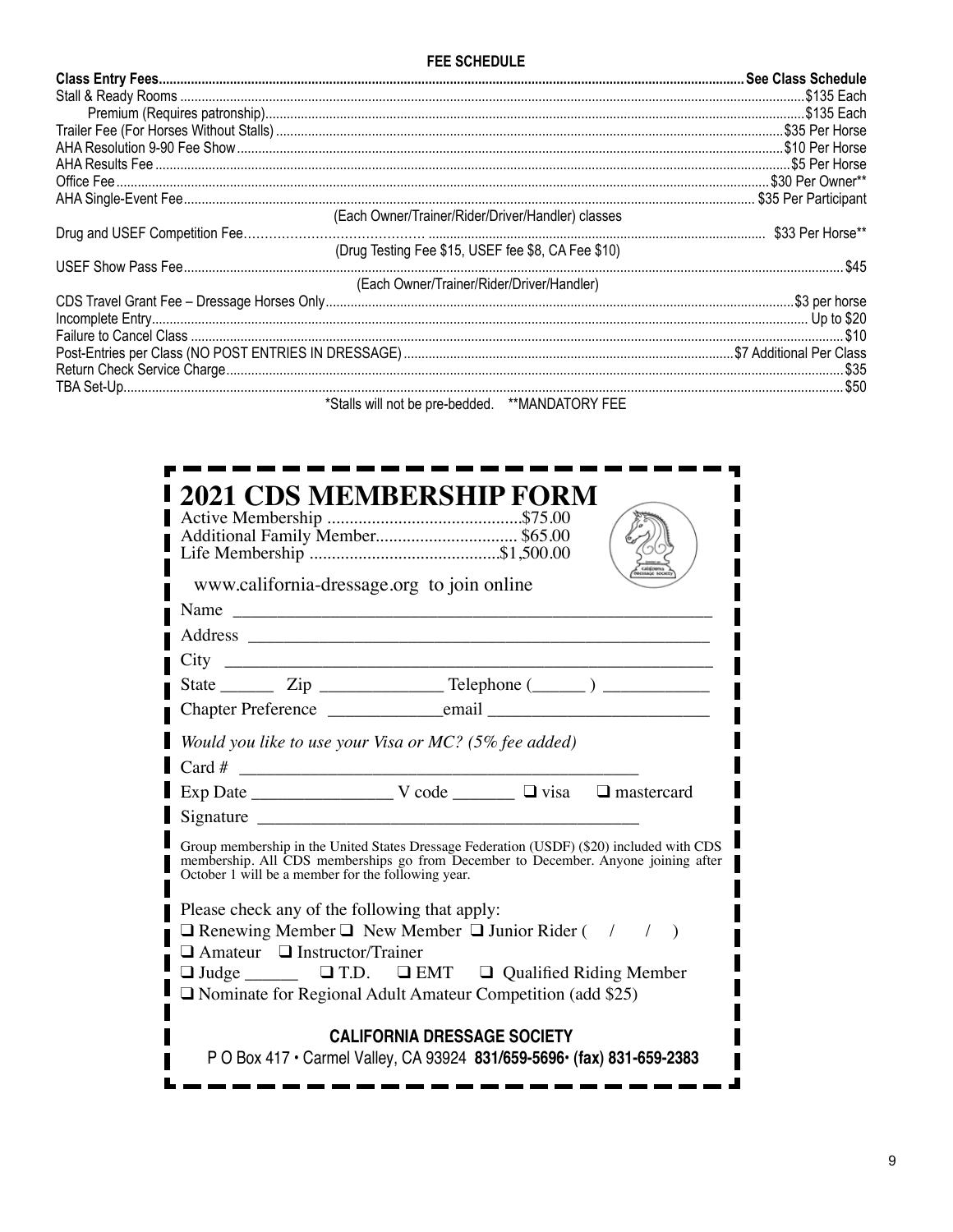| (Each Owner/Trainer/Rider/Driver/Handler) classes  |  |
|----------------------------------------------------|--|
|                                                    |  |
| (Drug Testing Fee \$15, USEF fee \$8, CA Fee \$10) |  |
|                                                    |  |
| (Each Owner/Trainer/Rider/Driver/Handler)          |  |
|                                                    |  |
|                                                    |  |
|                                                    |  |
|                                                    |  |
|                                                    |  |
|                                                    |  |

\*Stalls will not be pre-bedded. \*\*MANDATORY FEE

| <b>2021 CDS MEMBERSHIP FORM</b><br>www.california-dressage.org to join online                                                                                                                                                                                                                    |  |  |  |  |
|--------------------------------------------------------------------------------------------------------------------------------------------------------------------------------------------------------------------------------------------------------------------------------------------------|--|--|--|--|
|                                                                                                                                                                                                                                                                                                  |  |  |  |  |
|                                                                                                                                                                                                                                                                                                  |  |  |  |  |
| $City \_$                                                                                                                                                                                                                                                                                        |  |  |  |  |
|                                                                                                                                                                                                                                                                                                  |  |  |  |  |
|                                                                                                                                                                                                                                                                                                  |  |  |  |  |
| Would you like to use your Visa or MC? (5% fee added)                                                                                                                                                                                                                                            |  |  |  |  |
|                                                                                                                                                                                                                                                                                                  |  |  |  |  |
|                                                                                                                                                                                                                                                                                                  |  |  |  |  |
|                                                                                                                                                                                                                                                                                                  |  |  |  |  |
| Group membership in the United States Dressage Federation (USDF) (\$20) included with CDS<br>membership. All CDS memberships go from December to December. Anyone joining after<br>October 1 will be a member for the following year.                                                            |  |  |  |  |
| Please check any of the following that apply:<br>$\Box$ Renewing Member $\Box$ New Member $\Box$ Junior Rider ( / / )<br>$\Box$ Amateur $\Box$ Instructor/Trainer<br>□ Judge _______ □ T.D. □ EMT □ Qualified Riding Member<br>$\Box$ Nominate for Regional Adult Amateur Competition (add \$25) |  |  |  |  |
| <b>CALIFORNIA DRESSAGE SOCIETY</b><br>P O Box 417 · Carmel Valley, CA 93924 831/659-5696 · (fax) 831-659-2383                                                                                                                                                                                    |  |  |  |  |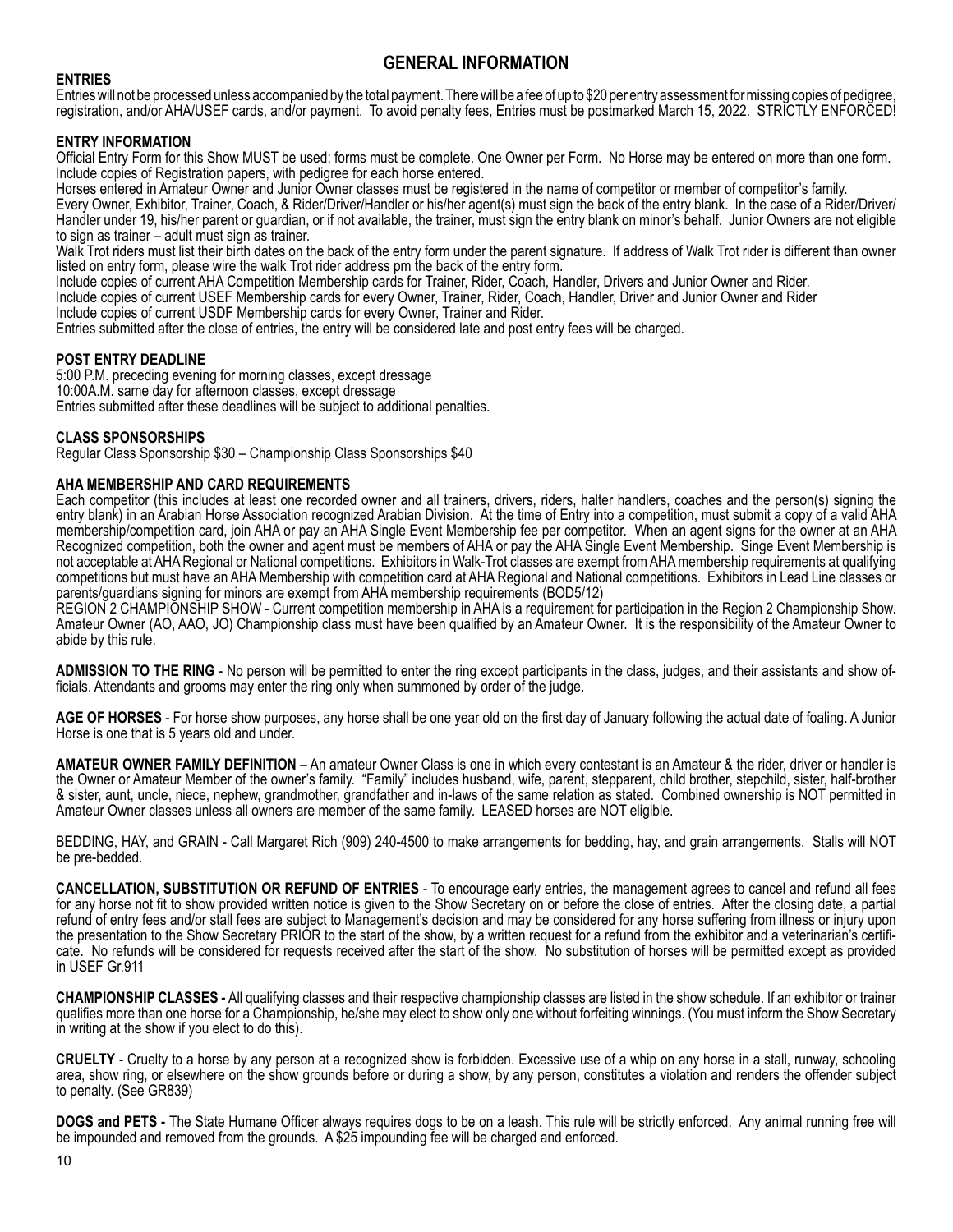#### **ENTRIES**

Entries will not be processed unless accompanied by the total payment. There will be a fee of up to \$20 per entry assessment for missing copies of pedigree, registration, and/or AHA/USEF cards, and/or payment. To avoid penalty fees, Entries must be postmarked March 15, 2022. STRICTLY ENFORCED!

#### **ENTRY INFORMATION**

Official Entry Form for this Show MUST be used; forms must be complete. One Owner per Form. No Horse may be entered on more than one form. Include copies of Registration papers, with pedigree for each horse entered.

Horses entered in Amateur Owner and Junior Owner classes must be registered in the name of competitor or member of competitor's family.

Every Owner, Exhibitor, Trainer, Coach, & Rider/Driver/Handler or his/her agent(s) must sign the back of the entry blank. In the case of a Rider/Driver/ Handler under 19, his/her parent or guardian, or if not available, the trainer, must sign the entry blank on minor's behalf. Junior Owners are not eligible to sign as trainer – adult must sign as trainer.

Walk Trot riders must list their birth dates on the back of the entry form under the parent signature. If address of Walk Trot rider is different than owner listed on entry form, please wire the walk Trot rider address pm the back of the entry form.

Include copies of current AHA Competition Membership cards for Trainer, Rider, Coach, Handler, Drivers and Junior Owner and Rider.

Include copies of current USEF Membership cards for every Owner, Trainer, Rider, Coach, Handler, Driver and Junior Owner and Rider

Include copies of current USDF Membership cards for every Owner, Trainer and Rider.

Entries submitted after the close of entries, the entry will be considered late and post entry fees will be charged.

#### **POST ENTRY DEADLINE**

5:00 P.M. preceding evening for morning classes, except dressage 10:00A.M. same day for afternoon classes, except dressage Entries submitted after these deadlines will be subject to additional penalties.

#### **CLASS SPONSORSHIPS**

Regular Class Sponsorship \$30 – Championship Class Sponsorships \$40

#### **AHA MEMBERSHIP AND CARD REQUIREMENTS**

Each competitor (this includes at least one recorded owner and all trainers, drivers, riders, halter handlers, coaches and the person(s) signing the entry blank) in an Arabian Horse Association recognized Arabian Division. At the time of Entry into a competition, must submit a copy of a valid AHA membership/competition card, join AHA or pay an AHA Single Event Membership fee per competitor. When an agent signs for the owner at an AHA Recognized competition, both the owner and agent must be members of AHA or pay the AHA Single Event Membership. Singe Event Membership is not acceptable at AHA Regional or National competitions. Exhibitors in Walk-Trot classes are exempt from AHA membership requirements at qualifying competitions but must have an AHA Membership with competition card at AHA Regional and National competitions. Exhibitors in Lead Line classes or parents/guardians signing for minors are exempt from AHA membership requirements (BOD5/12)

REGION 2 CHAMPIONSHIP SHOW - Current competition membership in AHA is a requirement for participation in the Region 2 Championship Show. Amateur Owner (AO, AAO, JO) Championship class must have been qualified by an Amateur Owner. It is the responsibility of the Amateur Owner to abide by this rule.

**ADMISSION TO THE RING** - No person will be permitted to enter the ring except participants in the class, judges, and their assistants and show officials. Attendants and grooms may enter the ring only when summoned by order of the judge.

**AGE OF HORSES** - For horse show purposes, any horse shall be one year old on the first day of January following the actual date of foaling. A Junior Horse is one that is 5 years old and under.

**AMATEUR OWNER FAMILY DEFINITION** – An amateur Owner Class is one in which every contestant is an Amateur & the rider, driver or handler is the Owner or Amateur Member of the owner's family. "Family" includes husband, wife, parent, stepparent, child brother, stepchild, sister, half-brother & sister, aunt, uncle, niece, nephew, grandmother, grandfather and in-laws of the same relation as stated. Combined ownership is NOT permitted in Amateur Owner classes unless all owners are member of the same family. LEASED horses are NOT eligible.

BEDDING, HAY, and GRAIN - Call Margaret Rich (909) 240-4500 to make arrangements for bedding, hay, and grain arrangements. Stalls will NOT be pre-bedded.

**Cancellation, Substitution or Refund of Entries** - To encourage early entries, the management agrees to cancel and refund all fees for any horse not fit to show provided written notice is given to the Show Secretary on or before the close of entries. After the closing date, a partial refund of entry fees and/or stall fees are subject to Management's decision and may be considered for any horse suffering from illness or injury upon the presentation to the Show Secretary PRIOR to the start of the show, by a written request for a refund from the exhibitor and a veterinarian's certificate. No refunds will be considered for requests received after the start of the show. No substitution of horses will be permitted except as provided in USEF Gr.911

**CHAMPIONSHIP CLASSES -** All qualifying classes and their respective championship classes are listed in the show schedule. If an exhibitor or trainer qualifies more than one horse for a Championship, he/she may elect to show only one without forfeiting winnings. (You must inform the Show Secretary in writing at the show if you elect to do this).

**CRUELTY** - Cruelty to a horse by any person at a recognized show is forbidden. Excessive use of a whip on any horse in a stall, runway, schooling area, show ring, or elsewhere on the show grounds before or during a show, by any person, constitutes a violation and renders the offender subject to penalty. (See GR839)

DOGS and PETS - The State Humane Officer always requires dogs to be on a leash. This rule will be strictly enforced. Any animal running free will be impounded and removed from the grounds. A \$25 impounding fee will be char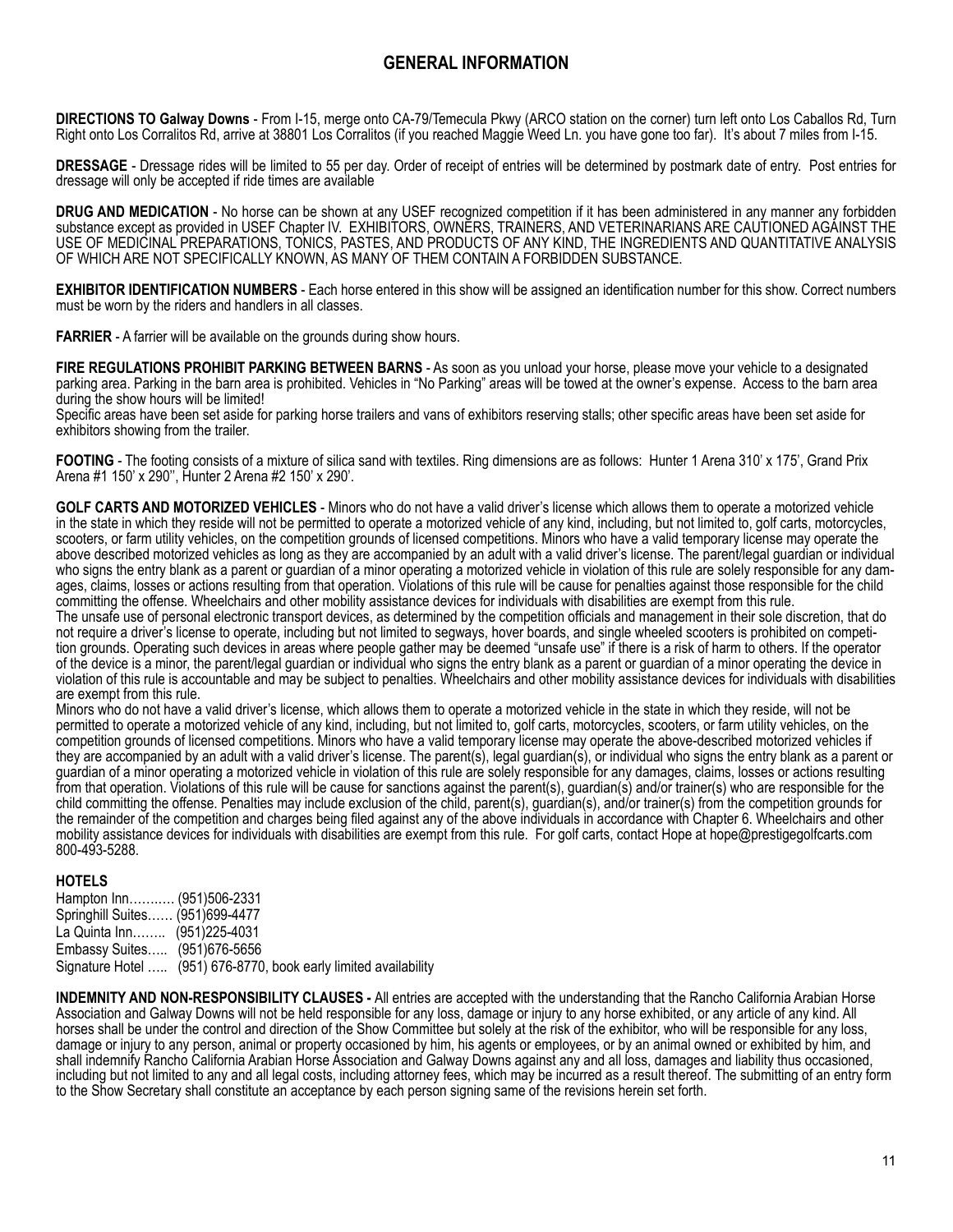**DIRECTIONS TO Galway Downs** - From I-15, merge onto CA-79/Temecula Pkwy (ARCO station on the corner) turn left onto Los Caballos Rd, Turn Right onto Los Corralitos Rd, arrive at 38801 Los Corralitos (if you reached Maggie Weed Ln. you have gone too far). It's about 7 miles from I-15.

**DRESSAGE** - Dressage rides will be limited to 55 per day. Order of receipt of entries will be determined by postmark date of entry. Post entries for dressage will only be accepted if ride times are available

**DRUG AND MEDICATION** - No horse can be shown at any USEF recognized competition if it has been administered in any manner any forbidden substance except as provided in USEF Chapter IV. EXHIBITORS, OWNERS, TRAINERS, AND VETERINARIANS ARE CAUTIONED AGAINST THE USE OF MEDICINAL PREPARATIONS, TONICS, PASTES, AND PRODUCTS OF ANY KIND, THE INGREDIENTS AND QUANTITATIVE ANALYSIS OF WHICH ARE NOT SPECIFICALLY KNOWN, AS MANY OF THEM CONTAIN A FORBIDDEN SUBSTANCE.

**EXHIBITOR IDENTIFICATION NUMBERS** - Each horse entered in this show will be assigned an identification number for this show. Correct numbers must be worn by the riders and handlers in all classes.

**FARRIER** - A farrier will be available on the grounds during show hours.

**FIRE REGULATIONS PROHIBIT PARKING BETWEEN BARNS** - As soon as you unload your horse, please move your vehicle to a designated parking area. Parking in the barn area is prohibited. Vehicles in "No Parking" areas will be towed at the owner's expense. Access to the barn area during the show hours will be limited!

Specific areas have been set aside for parking horse trailers and vans of exhibitors reserving stalls; other specific areas have been set aside for exhibitors showing from the trailer.

FOOTING - The footing consists of a mixture of silica sand with textiles. Ring dimensions are as follows: Hunter 1 Arena 310' x 175', Grand Prix Arena #1 150' x 290'', Hunter 2 Arena #2 150' x 290'.

**GOLF CARTS AND MOTORIZED VEHICLES** - Minors who do not have a valid driver's license which allows them to operate a motorized vehicle in the state in which they reside will not be permitted to operate a motorized vehicle of any kind, including, but not limited to, golf carts, motorcycles, scooters, or farm utility vehicles, on the competition grounds of licensed competitions. Minors who have a valid temporary license may operate the above described motorized vehicles as long as they are accompanied by an adult with a valid driver's license. The parent/legal guardian or individual who signs the entry blank as a parent or guardian of a minor operating a motorized vehicle in violation of this rule are solely responsible for any damages, claims, losses or actions resulting from that operation. Violations of this rule will be cause for penalties against those responsible for the child committing the offense. Wheelchairs and other mobility assistance devices for individuals with disabilities are exempt from this rule.

The unsafe use of personal electronic transport devices, as determined by the competition officials and management in their sole discretion, that do not require a driver's license to operate, including but not limited to segways, hover boards, and single wheeled scooters is prohibited on competition grounds. Operating such devices in areas where people gather may be deemed "unsafe use" if there is a risk of harm to others. If the operator of the device is a minor, the parent/legal guardian or individual who signs the entry blank as a parent or guardian of a minor operating the device in violation of this rule is accountable and may be subject to penalties. Wheelchairs and other mobility assistance devices for individuals with disabilities are exempt from this rule.

Minors who do not have a valid driver's license, which allows them to operate a motorized vehicle in the state in which they reside, will not be permitted to operate a motorized vehicle of any kind, including, but not limited to, golf carts, motorcycles, scooters, or farm utility vehicles, on the competition grounds of licensed competitions. Minors who have a valid temporary license may operate the above-described motorized vehicles if they are accompanied by an adult with a valid driver's license. The parent(s), legal guardian(s), or individual who signs the entry blank as a parent or guardian of a minor operating a motorized vehicle in violation of this rule are solely responsible for any damages, claims, losses or actions resulting from that operation. Violations of this rule will be cause for sanctions against the parent(s), guardian(s) and/or trainer(s) who are responsible for the child committing the offense. Penalties may include exclusion of the child, parent(s), guardian(s), and/or trainer(s) from the competition grounds for the remainder of the competition and charges being filed against any of the above individuals in accordance with Chapter 6. Wheelchairs and other mobility assistance devices for individuals with disabilities are exempt from this rule. For golf carts, contact Hope at hope@prestigegolfcarts.com 800-493-5288.

#### **HOTELS**

| Hampton Inn (951)506-2331       |                                                                  |
|---------------------------------|------------------------------------------------------------------|
| Springhill Suites (951)699-4477 |                                                                  |
| La Quinta Inn…… (951)225-4031   |                                                                  |
| Embassy Suites (951)676-5656    |                                                                  |
|                                 | Signature Hotel  (951) 676-8770, book early limited availability |

**INDEMNITY AND NON-RESPONSIBILITY CLAUSES -** All entries are accepted with the understanding that the Rancho California Arabian Horse Association and Galway Downs will not be held responsible for any loss, damage or injury to any horse exhibited, or any article of any kind. All horses shall be under the control and direction of the Show Committee but solely at the risk of the exhibitor, who will be responsible for any loss, damage or injury to any person, animal or property occasioned by him, his agents or employees, or by an animal owned or exhibited by him, and shall indemnify Rancho California Arabian Horse Association and Galway Downs against any and all loss, damages and liability thus occasioned, including but not limited to any and all legal costs, including attorney fees, which may be incurred as a result thereof. The submitting of an entry form to the Show Secretary shall constitute an acceptance by each person signing same of the revisions herein set forth.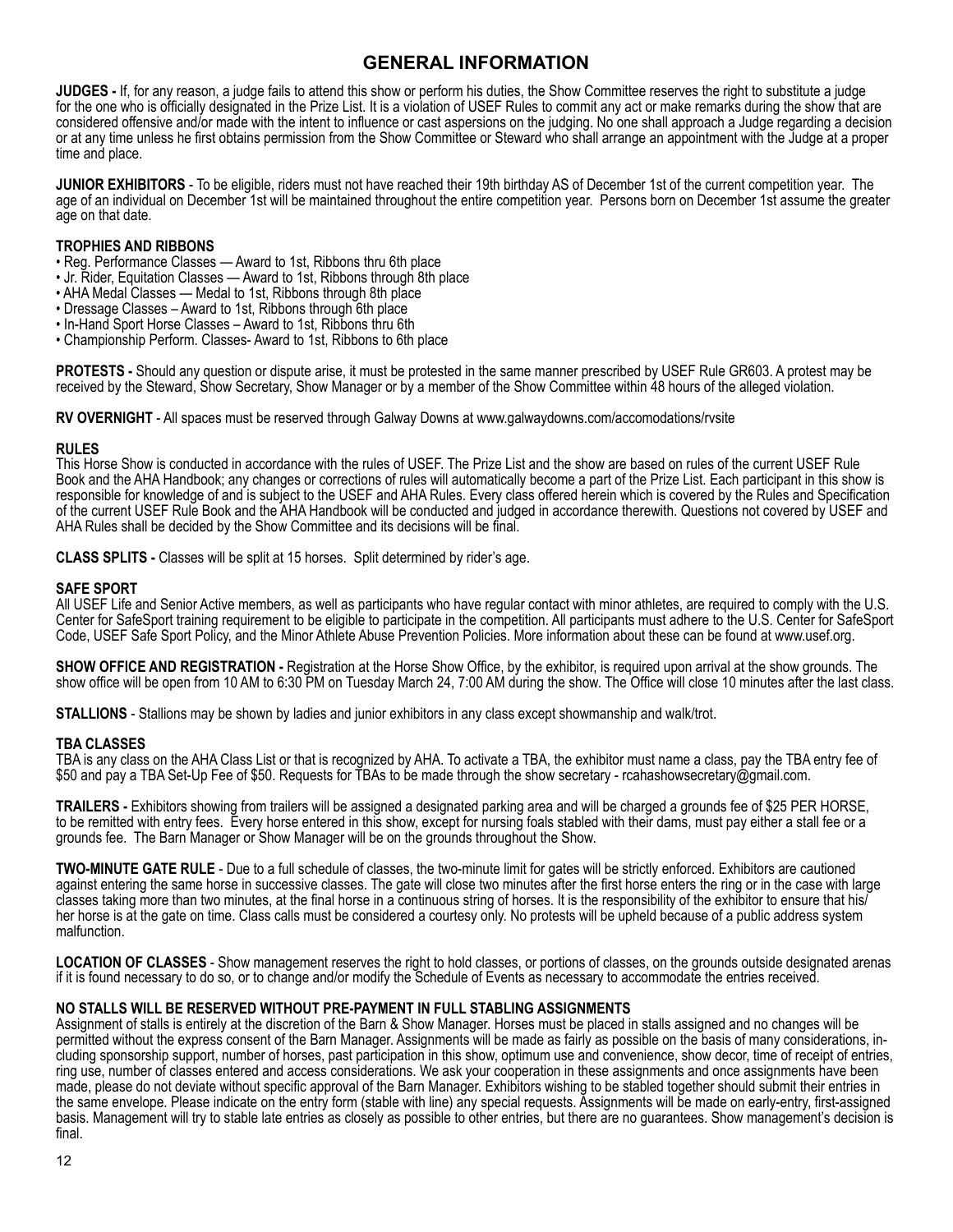**JUDGES -** If, for any reason, a judge fails to attend this show or perform his duties, the Show Committee reserves the right to substitute a judge for the one who is officially designated in the Prize List. It is a violation of USEF Rules to commit any act or make remarks during the show that are considered offensive and/or made with the intent to influence or cast aspersions on the judging. No one shall approach a Judge regarding a decision or at any time unless he first obtains permission from the Show Committee or Steward who shall arrange an appointment with the Judge at a proper time and place.

**JUNIOR EXHIBITORS** - To be eligible, riders must not have reached their 19th birthday AS of December 1st of the current competition year. The age of an individual on December 1st will be maintained throughout the entire competition year. Persons born on December 1st assume the greater age on that date.

#### **TROPHIES AND RIBBONS**

- Reg. Performance Classes Award to 1st, Ribbons thru 6th place
- Jr. Rider, Equitation Classes Award to 1st, Ribbons through 8th place
- AHA Medal Classes Medal to 1st, Ribbons through 8th place
- Dressage Classes Award to 1st, Ribbons through 6th place
- In-Hand Sport Horse Classes Award to 1st, Ribbons thru 6th
- Championship Perform. Classes- Award to 1st, Ribbons to 6th place

**PROTESTS -** Should any question or dispute arise, it must be protested in the same manner prescribed by USEF Rule GR603. A protest may be received by the Steward, Show Secretary, Show Manager or by a member of the Show Committee within 48 hours of the alleged violation.

**RV OVERNIGHT** - All spaces must be reserved through Galway Downs at www.galwaydowns.com/accomodations/rvsite

#### **RULES**

This Horse Show is conducted in accordance with the rules of USEF. The Prize List and the show are based on rules of the current USEF Rule Book and the AHA Handbook; any changes or corrections of rules will automatically become a part of the Prize List. Each participant in this show is responsible for knowledge of and is subject to the USEF and AHA Rules. Every class offered herein which is covered by the Rules and Specification of the current USEF Rule Book and the AHA Handbook will be conducted and judged in accordance therewith. Questions not covered by USEF and AHA Rules shall be decided by the Show Committee and its decisions will be final.

**CLASS SPLITS -** Classes will be split at 15 horses. Split determined by rider's age.

#### **SAFE SPORT**

All USEF Life and Senior Active members, as well as participants who have regular contact with minor athletes, are required to comply with the U.S. Center for SafeSport training requirement to be eligible to participate in the competition. All participants must adhere to the U.S. Center for SafeSport Code, USEF Safe Sport Policy, and the Minor Athlete Abuse Prevention Policies. More information about these can be found at www.usef.org.

**SHOW OFFICE AND REGISTRATION -** Registration at the Horse Show Office, by the exhibitor, is required upon arrival at the show grounds. The show office will be open from 10 AM to 6:30 PM on Tuesday March 24, 7:00 AM during the show. The Office will close 10 minutes after the last class.

**STALLIONS** - Stallions may be shown by ladies and junior exhibitors in any class except showmanship and walk/trot.

#### **TBA CLASSES**

TBA is any class on the AHA Class List or that is recognized by AHA. To activate a TBA, the exhibitor must name a class, pay the TBA entry fee of \$50 and pay a TBA Set-Up Fee of \$50. Requests for TBAs to be made through the show secretary - rcahashowsecretary@gmail.com.

**TRAILERS -** Exhibitors showing from trailers will be assigned a designated parking area and will be charged a grounds fee of \$25 PER HORSE, to be remitted with entry fees. Every horse entered in this show, except for nursing foals stabled with their dams, must pay either a stall fee or a grounds fee. The Barn Manager or Show Manager will be on the grounds throughout the Show.

**TWO-MINUTE GATE RULE** - Due to a full schedule of classes, the two-minute limit for gates will be strictly enforced. Exhibitors are cautioned against entering the same horse in successive classes. The gate will close two minutes after the first horse enters the ring or in the case with large classes taking more than two minutes, at the final horse in a continuous string of horses. It is the responsibility of the exhibitor to ensure that his/ her horse is at the gate on time. Class calls must be considered a courtesy only. No protests will be upheld because of a public address system malfunction.

LOCATION OF CLASSES - Show management reserves the right to hold classes, or portions of classes, on the grounds outside designated arenas if it is found necessary to do so, or to change and/or modify the Schedule of Events as necessary to accommodate the entries received.

#### **NO STALLS WILL BE RESERVED WITHOUT PRE-PAYMENT IN FULL STABLING ASSIGNMENTS**

Assignment of stalls is entirely at the discretion of the Barn & Show Manager. Horses must be placed in stalls assigned and no changes will be permitted without the express consent of the Barn Manager. Assignments will be made as fairly as possible on the basis of many considerations, in-<br>cluding sponsorship support, number of horses, past participation in this s ring use, number of classes entered and access considerations. We ask your cooperation in these assignments and once assignments have been made, please do not deviate without specific approval of the Barn Manager. Exhibitors wishing to be stabled together should submit their entries in the same envelope. Please indicate on the entry form (stable with line) any special requests. Assignments will be made on early-entry, first-assigned basis. Management will try to stable late entries as closely as possible to other entries, but there are no guarantees. Show management's decision is final.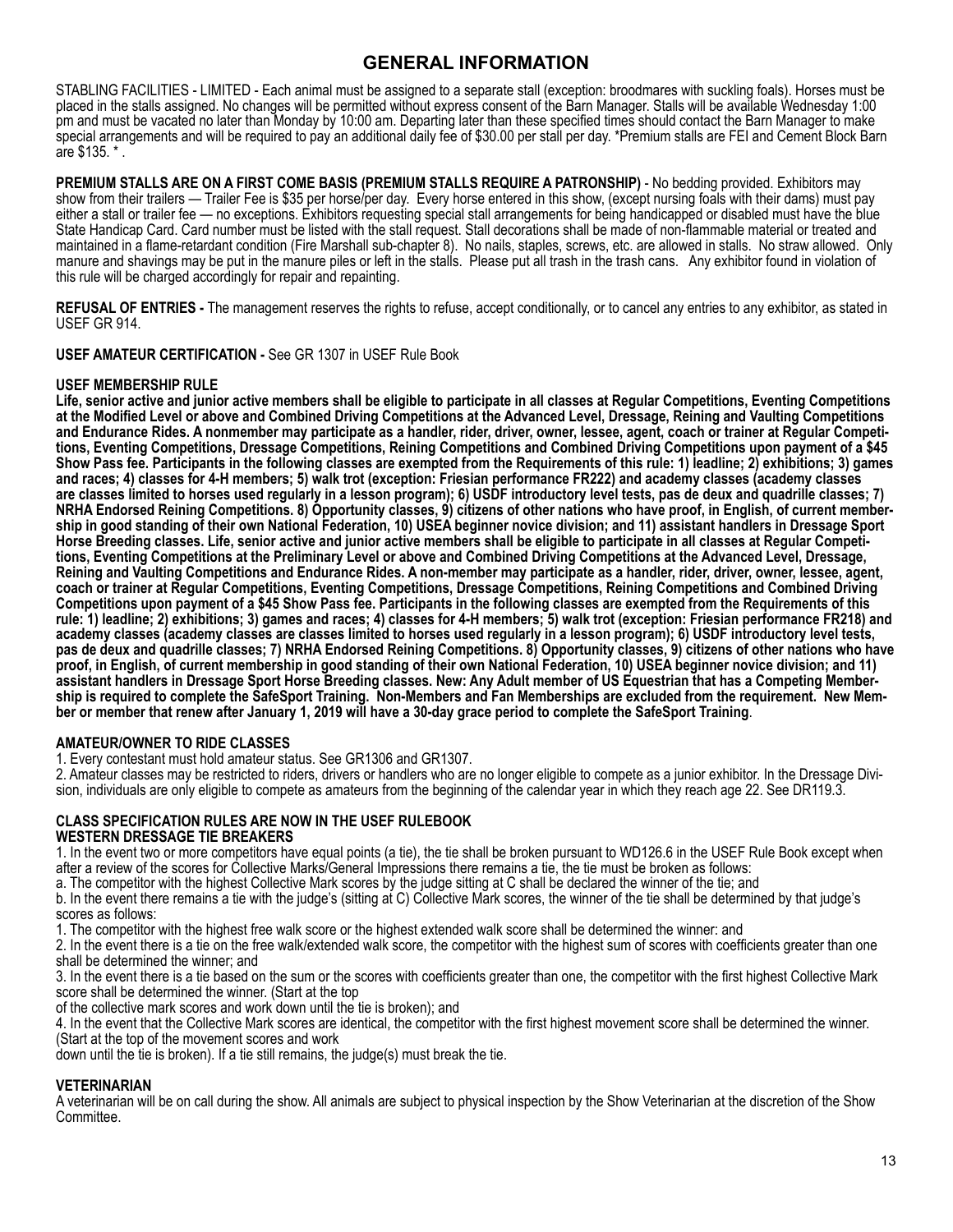STABLING FACILITIES - LIMITED - Each animal must be assigned to a separate stall (exception: broodmares with suckling foals). Horses must be placed in the stalls assigned. No changes will be permitted without express consent of the Barn Manager. Stalls will be available Wednesday 1:00 pm and must be vacated no later than Monday by 10:00 am. Departing later than these specified times should contact the Barn Manager to make special arrangements and will be required to pay an additional daily fee of \$30.00 per stall per day. \*Premium stalls are FEI and Cement Block Barn are \$135. \* .

**PREMIUM STALLS ARE ON A FIRST COME BASIS (PREMIUM STALLS REQUIRE A PATRONSHIP)** - No bedding provided. Exhibitors may show from their trailers — Trailer Fee is \$35 per horse/per day. Every horse entered in this show, (except nursing foals with their dams) must pay either a stall or trailer fee — no exceptions. Exhibitors requesting special stall arrangements for being handicapped or disabled must have the blue State Handicap Card. Card number must be listed with the stall request. Stall decorations shall be made of non-flammable material or treated and maintained in a flame-retardant condition (Fire Marshall sub-chapter 8). No nails, staples, screws, etc. are allowed in stalls. No straw allowed. Only manure and shavings may be put in the manure piles or left in the stalls. Please put all trash in the trash cans. Any exhibitor found in violation of this rule will be charged accordingly for repair and repainting.

**REFUSAL OF ENTRIES -** The management reserves the rights to refuse, accept conditionally, or to cancel any entries to any exhibitor, as stated in USEF GR 914.

**USEF AMATEUR CERTIFICATION -** See GR 1307 in USEF Rule Book

#### **USEF MEMBERSHIP RULE**

**Life, senior active and junior active members shall be eligible to participate in all classes at Regular Competitions, Eventing Competitions at the Modified Level or above and Combined Driving Competitions at the Advanced Level, Dressage, Reining and Vaulting Competitions and Endurance Rides. A nonmember may participate as a handler, rider, driver, owner, lessee, agent, coach or trainer at Regular Competitions, Eventing Competitions, Dressage Competitions, Reining Competitions and Combined Driving Competitions upon payment of a \$45 Show Pass fee. Participants in the following classes are exempted from the Requirements of this rule: 1) leadline; 2) exhibitions; 3) games and races; 4) classes for 4-H members; 5) walk trot (exception: Friesian performance FR222) and academy classes (academy classes are classes limited to horses used regularly in a lesson program); 6) USDF introductory level tests, pas de deux and quadrille classes; 7) NRHA Endorsed Reining Competitions. 8) Opportunity classes, 9) citizens of other nations who have proof, in English, of current membership in good standing of their own National Federation, 10) USEA beginner novice division; and 11) assistant handlers in Dressage Sport Horse Breeding classes. Life, senior active and junior active members shall be eligible to participate in all classes at Regular Competitions, Eventing Competitions at the Preliminary Level or above and Combined Driving Competitions at the Advanced Level, Dressage, Reining and Vaulting Competitions and Endurance Rides. A non-member may participate as a handler, rider, driver, owner, lessee, agent, coach or trainer at Regular Competitions, Eventing Competitions, Dressage Competitions, Reining Competitions and Combined Driving Competitions upon payment of a \$45 Show Pass fee. Participants in the following classes are exempted from the Requirements of this rule: 1) leadline; 2) exhibitions; 3) games and races; 4) classes for 4-H members; 5) walk trot (exception: Friesian performance FR218) and academy classes (academy classes are classes limited to horses used regularly in a lesson program); 6) USDF introductory level tests, pas de deux and quadrille classes; 7) NRHA Endorsed Reining Competitions. 8) Opportunity classes, 9) citizens of other nations who have proof, in English, of current membership in good standing of their own National Federation, 10) USEA beginner novice division; and 11) assistant handlers in Dressage Sport Horse Breeding classes. New: Any Adult member of US Equestrian that has a Competing Membership is required to complete the SafeSport Training. Non-Members and Fan Memberships are excluded from the requirement. New Member or member that renew after January 1, 2019 will have a 30-day grace period to complete the SafeSport Training**.

#### **AMATEUR/OWNER TO RIDE CLASSES**

1. Every contestant must hold amateur status. See GR1306 and GR1307.

2. Amateur classes may be restricted to riders, drivers or handlers who are no longer eligible to compete as a junior exhibitor. In the Dressage Division, individuals are only eligible to compete as amateurs from the beginning of the calendar year in which they reach age 22. See DR119.3.

#### **CLASS SPECIFICATION RULES ARE NOW IN THE USEF RULEBOOK WESTERN DRESSAGE TIE BREAKERS**

1. In the event two or more competitors have equal points (a tie), the tie shall be broken pursuant to WD126.6 in the USEF Rule Book except when after a review of the scores for Collective Marks/General Impressions there remains a tie, the tie must be broken as follows:

a. The competitor with the highest Collective Mark scores by the judge sitting at C shall be declared the winner of the tie; and

b. In the event there remains a tie with the judge's (sitting at C) Collective Mark scores, the winner of the tie shall be determined by that judge's scores as follows:

1. The competitor with the highest free walk score or the highest extended walk score shall be determined the winner: and

2. In the event there is a tie on the free walk/extended walk score, the competitor with the highest sum of scores with coefficients greater than one shall be determined the winner; and

3. In the event there is a tie based on the sum or the scores with coefficients greater than one, the competitor with the first highest Collective Mark score shall be determined the winner. (Start at the top

of the collective mark scores and work down until the tie is broken); and

4. In the event that the Collective Mark scores are identical, the competitor with the first highest movement score shall be determined the winner.<br>(Start at the top of the movement scores and work

down until the tie is broken). If a tie still remains, the judge(s) must break the tie.

#### **VETERINARIAN**

A veterinarian will be on call during the show. All animals are subject to physical inspection by the Show Veterinarian at the discretion of the Show Committee.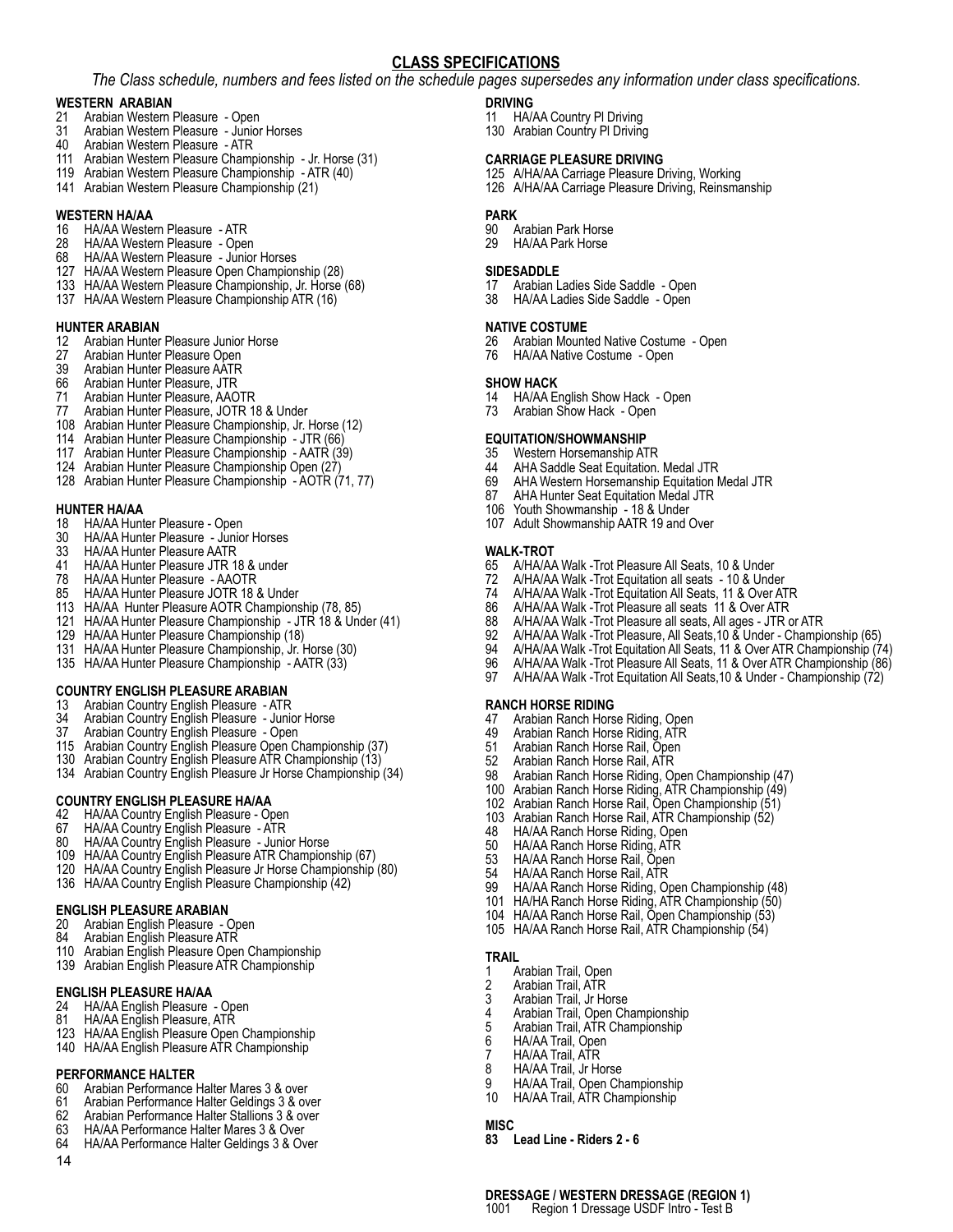#### **CLASS SPECIFICATIONS**

*The Class schedule, numbers and fees listed on the schedule pages supersedes any information under class specifications.*

## **WESTERN ARABIAN**<br>21 Arabian Western

- 21 Arabian Western Pleasure Open<br>31 Arabian Western Pleasure Junior
- 31 Arabian Western Pleasure Junior Horses
- Arabian Western Pleasure ATR
- Arabian Western Pleasure Championship Jr. Horse (31)
- Arabian Western Pleasure Championship ATR (40)
- Arabian Western Pleasure Championship (21)

## **WESTERN HA/AA**<br>16 HA/AA Weste

- 16 HA/AA Western Pleasure ATR<br>28 HA/AA Western Pleasure Ope
- 28 HA/AA Western Pleasure Open<br>68 HA/AA Western Pleasure Junior
- HA/AA Western Pleasure Junior Horses
- HA/AA Western Pleasure Open Championship (28)
- HA/AA Western Pleasure Championship, Jr. Horse (68)
- HA/AA Western Pleasure Championship ATR (16)

#### **HUNTER ARABIAN**

- 12 Arabian Hunter Pleasure Junior Horse<br>27 Arabian Hunter Pleasure Open
- 27 Arabian Hunter Pleasure Open<br>39 Arabian Hunter Pleasure AATR
- Arabian Hunter Pleasure AATR
- Arabian Hunter Pleasure, JTR
- Arabian Hunter Pleasure, AAOTR
- Arabian Hunter Pleasure, JOTR 18 & Under
- Arabian Hunter Pleasure Championship, Jr. Horse (12)
- Arabian Hunter Pleasure Championship JTR (66)
- Arabian Hunter Pleasure Championship AATR (39)
- Arabian Hunter Pleasure Championship Open (27)
- Arabian Hunter Pleasure Championship AOTR (71, 77)

#### **HUNTER HA/AA**

- 18 HA/AA Hunter Pleasure Open<br>30 HA/AA Hunter Pleasure Junio
- 30 HA/AA Hunter Pleasure Junior Horses<br>33 HA/AA Hunter Pleasure AATR
- HA/AA Hunter Pleasure AATR
- HA/AA Hunter Pleasure JTR 18 & under
- HA/AA Hunter Pleasure AAOTR
- HA/AA Hunter Pleasure JOTR 18 & Under
- HA/AA Hunter Pleasure AOTR Championship (78, 85)
- HA/AA Hunter Pleasure Championship JTR 18 & Under (41)
- HA/AA Hunter Pleasure Championship (18)
- HA/AA Hunter Pleasure Championship, Jr. Horse (30)
- HA/AA Hunter Pleasure Championship AATR (33)

#### **COUNTRY ENGLISH PLEASURE ARABIAN**

- 13 Arabian Country English Pleasure ATR
- Arabian Country English Pleasure Junior Horse
- Arabian Country English Pleasure Open
- Arabian Country English Pleasure Open Championship (37)
- Arabian Country English Pleasure ATR Championship (13)
- Arabian Country English Pleasure Jr Horse Championship (34)

## **COUNTRY ENGLISH PLEASURE HA/AA**

- HA/AA Country English Pleasure Open
- HA/AA Country English Pleasure ATR
- HA/AA Country English Pleasure Junior Horse
- HA/AA Country English Pleasure ATR Championship (67)
- HA/AA Country English Pleasure Jr Horse Championship (80)
- HA/AA Country English Pleasure Championship (42)

#### **ENGLISH PLEASURE ARABIAN**

- 20 Arabian English Pleasure Open
- Arabian English Pleasure ATR
- Arabian English Pleasure Open Championship
- Arabian English Pleasure ATR Championship

#### **ENGLISH PLEASURE HA/AA**

- HA/AA English Pleasure Open
- HA/AA English Pleasure, ATR
- HA/AA English Pleasure Open Championship
- HA/AA English Pleasure ATR Championship

#### **PERFORMANCE HALTER**

- 60 Arabian Performance Halter Mares 3 & over<br>61 Arabian Performance Halter Geldings 3 & over
- Arabian Performance Halter Geldings 3 & over
- 
- Arabian Performance Halter Stallions 3 & over HA/AA Performance Halter Mares 3 & Over
- HA/AA Performance Halter Geldings 3 & Over
- 

#### **DRIVING**

- HA/AA Country Pl Driving
- 130 Arabian Country PI Driving

#### **CARRIAGE PLEASURE DRIVING**

- A/HA/AA Carriage Pleasure Driving, Working
- A/HA/AA Carriage Pleasure Driving, Reinsmanship

#### **PARK**

- Arabian Park Horse
- HA/AA Park Horse

#### **SIDESADDLE**

- Arabian Ladies Side Saddle Open
- HA/AA Ladies Side Saddle Open

#### **NATIVE COSTUME**

- Arabian Mounted Native Costume Open
- HA/AA Native Costume Open

#### **SHOW HACK**

- HA/AA English Show Hack Open
- Arabian Show Hack Open

## **EQUITATION/SHOWMANSHIP**<br>35 Western Horsemanship AT

- 35 Western Horsemanship ATR<br>44 AHA Saddle Seat Equitation.
- AHA Saddle Seat Equitation. Medal JTR
- 69 AHA Western Horsemanship Equitation Medal JTR<br>87 AHA Hunter Seat Equitation Medal JTR
- AHA Hunter Seat Equitation Medal JTR
- Youth Showmanship 18 & Under
- Adult Showmanship AATR 19 and Over

**Ranch Horse Riding**

**TRAIL**

**MISC**

1 Arabian Trail, Open<br>2 Arabian Trail, ATR 2 Arabian Trail, ATR<br>3 Arabian Trail Jr Ho Arabian Trail, Jr Horse 4 Arabian Trail, Open Championship<br>5 Arabian Trail, ATR Championship 5 Arabian Trail, ATR Championship<br>6 HA/AA Trail, Open HA/AA Trail, Open 7 HA/AA Trail, ATR<br>8 HA/AA Trail . Ir Ho 8 HA/AA Trail, Jr Horse<br>9 HA/AA Trail, Open Ch

**83 Lead Line - Riders 2 - 6**

 Arabian Ranch Horse Riding, Open Arabian Ranch Horse Riding, ATR Arabian Ranch Horse Rail, Open Arabian Ranch Horse Rail, ATR

48 HA/AA Ranch Horse Riding, Open<br>50 HA/AA Ranch Horse Riding, ATR HA/AA Ranch Horse Riding, ATR HA/AA Ranch Horse Rail, Open HA/AA Ranch Horse Rail, ATR

HA/AA Trail, Open Championship HA/AA Trail, ATR Championship

**DRESSAGE / WESTERN DRESSAGE (REGION 1)** Region 1 Dressage USDF Intro - Test B

- **WALK-TROT** A/HA/AA Walk -Trot Pleasure All Seats, 10 & Under
- A/HA/AA Walk -Trot Equitation all seats 10 & Under
- A/HA/AA Walk -Trot Equitation All Seats, 11 & Over ATR A/HA/AA Walk -Trot Pleasure all seats 11 & Over ATR

 Arabian Ranch Horse Riding, Open Championship (47) Arabian Ranch Horse Riding, ATR Championship (49) Arabian Ranch Horse Rail, Open Championship (51) Arabian Ranch Horse Rail, ATR Championship (52)

 HA/AA Ranch Horse Riding, Open Championship (48) HA/HA Ranch Horse Riding, ATR Championship (50) HA/AA Ranch Horse Rail, Open Championship (53) HA/AA Ranch Horse Rail, ATR Championship (54)

 A/HA/AA Walk -Trot Pleasure all seats, All ages - JTR or ATR A/HA/AA Walk -Trot Pleasure, All Seats,10 & Under - Championship (65) A/HA/AA Walk -Trot Equitation All Seats, 11 & Over ATR Championship (74) A/HA/AA Walk -Trot Pleasure All Seats, 11 & Over ATR Championship (86) A/HA/AA Walk -Trot Equitation All Seats,10 & Under - Championship (72)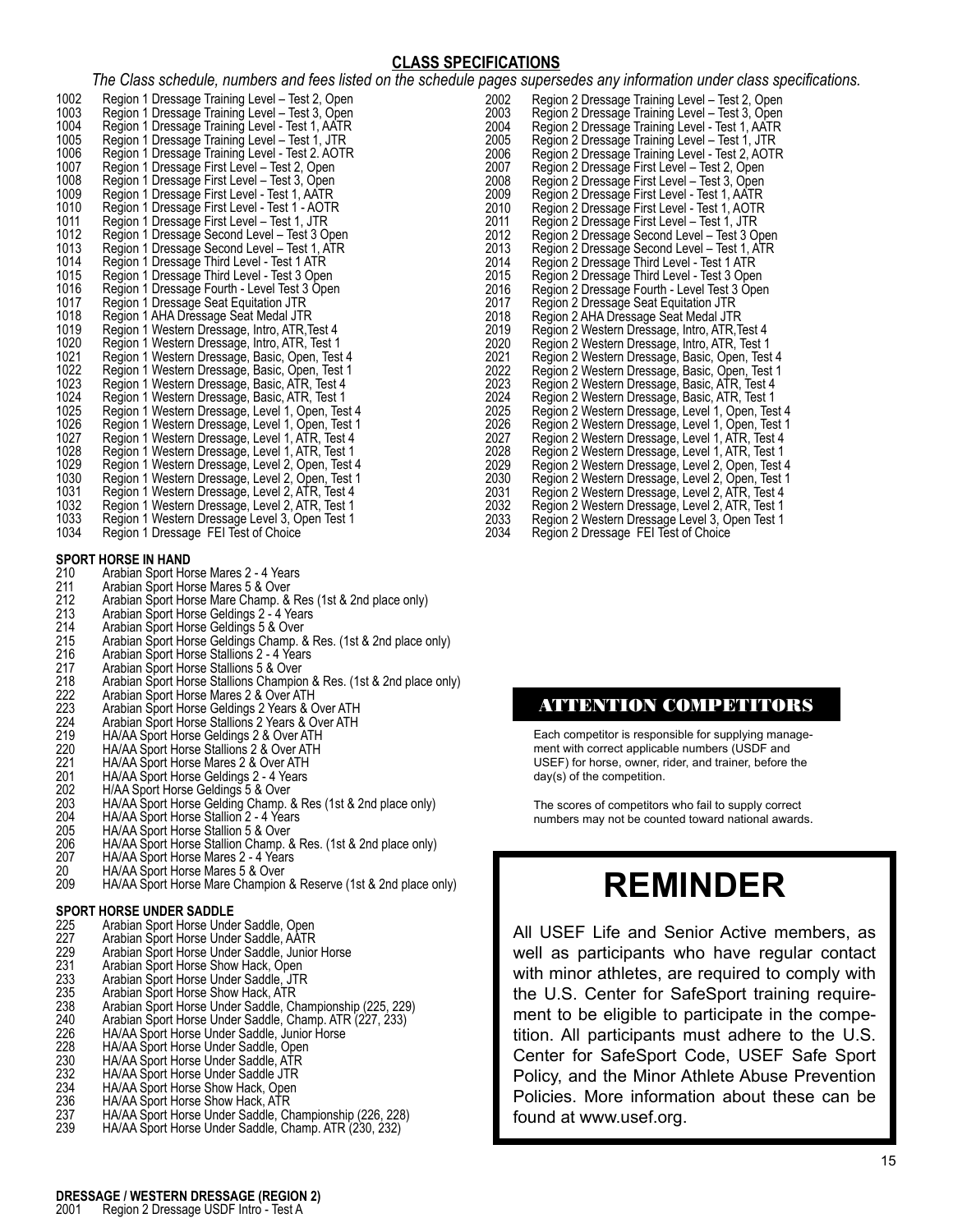#### **CLASS SPECIFICATIONS**

*The Class schedule, numbers and fees listed on the schedule pages supersedes any information under class specifications.*

|      | rne Oldss schedule, humbers and lees liste                                                         |
|------|----------------------------------------------------------------------------------------------------|
| 1002 | Region 1 Dressage Training Level – Test 2, Open<br>Region 1 Dressage Training Level – Test 3, Open |
| 1003 |                                                                                                    |
| 1004 | Region 1 Dressage Training Level - Test 1, AATR                                                    |
| 1005 | Region 1 Dressage Training Level - Test 1, JTR                                                     |
| 1006 | Region 1 Dressage Training Level - Test 2. AOTR                                                    |
| 1007 | Region 1 Dressage First Level - Test 2, Open                                                       |
| 1008 | Region 1 Dressage First Level - Test 3, Open                                                       |
| 1009 | Region 1 Dressage First Level - Test 1, AATR                                                       |
| 1010 | Region 1 Dressage First Level - Test 1 - AOTR                                                      |
| 1011 | Region 1 Dressage First Level - Test 1, JTR                                                        |
| 1012 | Region 1 Dressage Second Level - Test 3 Open                                                       |
| 1013 | Region 1 Dressage Second Level - Test 1, ATR                                                       |
| 1014 | Region 1 Dressage Third Level - Test 1 ATR                                                         |
| 1015 | Region 1 Dressage Third Level - Test 3 Open                                                        |
| 1016 | Region 1 Dressage Fourth - Level Test 3 Open                                                       |
| 1017 | Region 1 Dressage Seat Equitation JTR                                                              |
| 1018 | Region 1 AHA Dressage Seat Medal JTR                                                               |
| 1019 | Region 1 Western Dressage, Intro, ATR, Test 4                                                      |
| 1020 | Region 1 Western Dressage, Intro, ATR, Test 1                                                      |
| 1021 | Region 1 Western Dressage, Basic, Open, Test 4                                                     |
| 1022 | Region 1 Western Dressage, Basic, Open, Test 1                                                     |
| 1023 | Region 1 Western Dressage, Basic, ATR, Test 4                                                      |
| 1024 | Region 1 Western Dressage, Basic, ATR, Test 1                                                      |
| 1025 | Region 1 Western Dressage, Level 1, Open, Test 4                                                   |
| 1026 | Region 1 Western Dressage, Level 1, Open, Test 1                                                   |
| 1027 | Region 1 Western Dressage, Level 1, ATR, Test 4                                                    |
| 1028 | Region 1 Western Dressage, Level 1, ATR, Test 1                                                    |
| 1029 | Region 1 Western Dressage, Level 2, Open, Test 4                                                   |
| 1030 | Region 1 Western Dressage, Level 2, Open, Test 1                                                   |
| 1031 | Region 1 Western Dressage, Level 2, ATR, Test 4                                                    |
| 1032 | Region 1 Western Dressage, Level 2, ATR, Test 1                                                    |
| 1033 | Region 1 Western Dressage Level 3, Open Test 1                                                     |
| 1034 | Region 1 Dressage FEI Test of Choice                                                               |

# **SPORT HORSE IN HAND**<br>210 Arabian Sport Hor<br>211 Arabian Sport Hor

- Arabian Sport Horse Mares 2 4 Years
- 211 Arabian Sport Horse Mares 5 & Over<br>212 Arabian Sport Horse Mare Champ. &<br>213 Arabian Sport Horse Geldings 2 4 Y
- Arabian Sport Horse Mare Champ. & Res (1st & 2nd place only)
- Arabian Sport Horse Geldings 2 4 Years
- 214 Arabian Sport Horse Geldings 5 & Over<br>215 Arabian Sport Horse Geldings Champ. 8<br>216 Arabian Sport Horse Stallions 2 4 Years
- Arabian Sport Horse Geldings Champ. & Res. (1st & 2nd place only)
- Arabian Sport Horse Stallions 2 4 Years
- 217 Arabian Sport Horse Stallions 5 & Over<br>218 Arabian Sport Horse Stallions Champion
- 218 Arabian Sport Horse Stallions Champion & Res. (1st & 2nd place only)<br>222 Arabian Sport Horse Mares 2 & Over ATH
- 222 Arabian Sport Horse Mares 2 & Over ATH<br>223 Arabian Sport Horse Geldings 2 Years & C<br>224 Arabian Sport Horse Stallions 2 Years & C Arabian Sport Horse Geldings 2 Years & Over ATH
- Arabian Sport Horse Stallions 2 Years & Over ATH
- 219 HA/AA Sport Horse Geldings 2 & Over ATH<br>220 HA/AA Sport Horse Stallions 2 & Over ATH<br>221 HA/AA Sport Horse Mares 2 & Over ATH
- HA/AA Sport Horse Stallions 2 & Over ATH
- 
- 221 HA/AA Sport Horse Mares 2 & Over ATH<br>201 HA/AA Sport Horse Geldings 2 4 Years<br>202 H/AA Sport Horse Geldings 5 & Over HA/AA Sport Horse Geldings 2 - 4 Years
- 
- 202 H/AA Sport Horse Geldings 5 & Over<br>203 HA/AA Sport Horse Gelding Champ.<br>204 HA/AA Sport Horse Stallion 2 4 Year HA/AA Sport Horse Gelding Champ. & Res (1st & 2nd place only)
- HA/AA Sport Horse Stallion 2 4 Years
- HA/AA Sport Horse Stallion 5 & Over
- 206 HA/AA Sport Horse Stallion Champ. & Res. (1st & 2nd place only)<br>207 HA/AA Sport Horse Mares 2 4 Years
- 
- 207 HA/AA Sport Horse Mares 2 4 Years<br>20 HA/AA Sport Horse Mares 5 & Over<br>209 HA/AA Sport Horse Mare Champion & HA/AA Sport Horse Mares 5 & Over HA/AA Sport Horse Mare Champion & Reserve (1st & 2nd place only)

#### **SPORT HORSE UNDER SADDLE**

| 225 | Arabian Sport Horse Under Saddle, Open                    |
|-----|-----------------------------------------------------------|
| 227 | Arabian Sport Horse Under Saddle, AATR                    |
| 229 | Arabian Sport Horse Under Saddle, Junior Horse            |
| 231 | Arabian Sport Horse Show Hack, Open                       |
| 233 | Arabian Sport Horse Under Saddle, JTR                     |
| 235 | Arabian Sport Horse Show Hack, ATR                        |
| 238 | Arabian Sport Horse Under Saddle, Championship (225, 229) |
| 240 | Arabian Sport Horse Under Saddle, Champ. ATR (227, 233)   |
| 226 | HA/AA Sport Horse Under Saddle, Junior Horse              |
| 228 | HA/AA Sport Horse Under Saddle, Open                      |
| 230 | HA/AA Sport Horse Under Saddle, ATR                       |
| 232 | HA/AA Sport Horse Under Saddle JTR                        |
| 234 | HA/AA Sport Horse Show Hack, Open                         |
| 236 | HA/AA Sport Horse Show Hack, ATR                          |
| 237 | HA/AA Sport Horse Under Saddle, Championship (226, 228)   |
| 239 | HA/AA Sport Horse Under Saddle, Champ. ATR (230, 232)     |
|     |                                                           |

| 2002<br>2003<br>2004<br>2005<br>2006<br>2007<br>2008<br>2009<br>2010<br>2011<br>2012<br>2013<br>2014<br>2015<br>2016<br>2017<br>2018<br>2019<br>2020<br>2021<br>2022<br>2023<br>2024<br>2025<br>2026<br>2027 | Region 2 Dressage Training Level - Test 2, Open<br>Region 2 Dressage Training Level - Test 3, Open<br>Region 2 Dressage Training Level - Test 1, AATR<br>Region 2 Dressage Training Level - Test 1, JTR<br>Region 2 Dressage Training Level - Test 2, AOTR<br>Region 2 Dressage First Level - Test 2, Open<br>Region 2 Dressage First Level - Test 3, Open<br>Region 2 Dressage First Level - Test 1, AATR<br>Region 2 Dressage First Level - Test 1, AOTR<br>Region 2 Dressage First Level - Test 1, JTR<br>Region 2 Dressage Second Level - Test 3 Open<br>Region 2 Dressage Second Level - Test 1, ATR<br>Region 2 Dressage Third Level - Test 1 ATR<br>Region 2 Dressage Third Level - Test 3 Open<br>Region 2 Dressage Fourth - Level Test 3 Open<br>Region 2 Dressage Seat Equitation JTR<br>Region 2 AHA Dressage Seat Medal JTR<br>Region 2 Western Dressage, Intro, ATR, Test 4<br>Region 2 Western Dressage, Intro, ATR, Test 1<br>Region 2 Western Dressage, Basic, Open, Test 4<br>Region 2 Western Dressage, Basic, Open, Test 1<br>Region 2 Western Dressage, Basic, ATR, Test 4<br>Region 2 Western Dressage, Basic, ATR, Test 1<br>Region 2 Western Dressage, Level 1, Open, Test 4<br>Region 2 Western Dressage, Level 1, Open, Test 1<br>Region 2 Western Dressage, Level 1, ATR, Test 4 |
|--------------------------------------------------------------------------------------------------------------------------------------------------------------------------------------------------------------|------------------------------------------------------------------------------------------------------------------------------------------------------------------------------------------------------------------------------------------------------------------------------------------------------------------------------------------------------------------------------------------------------------------------------------------------------------------------------------------------------------------------------------------------------------------------------------------------------------------------------------------------------------------------------------------------------------------------------------------------------------------------------------------------------------------------------------------------------------------------------------------------------------------------------------------------------------------------------------------------------------------------------------------------------------------------------------------------------------------------------------------------------------------------------------------------------------------------------------------------------------------------------------------------------------|
|                                                                                                                                                                                                              |                                                                                                                                                                                                                                                                                                                                                                                                                                                                                                                                                                                                                                                                                                                                                                                                                                                                                                                                                                                                                                                                                                                                                                                                                                                                                                            |
| 2028<br>2029<br>2030<br>2031<br>2032<br>2033<br>2034                                                                                                                                                         | Region 2 Western Dressage, Level 1, ATR, Test 1<br>Region 2 Western Dressage, Level 2, Open, Test 4<br>Region 2 Western Dressage, Level 2, Open, Test 1<br>Region 2 Western Dressage, Level 2, ATR, Test 4<br>Region 2 Western Dressage, Level 2, ATR, Test 1<br>Region 2 Western Dressage Level 3, Open Test 1                                                                                                                                                                                                                                                                                                                                                                                                                                                                                                                                                                                                                                                                                                                                                                                                                                                                                                                                                                                            |
|                                                                                                                                                                                                              | Region 2 Dressage FEI Test of Choice                                                                                                                                                                                                                                                                                                                                                                                                                                                                                                                                                                                                                                                                                                                                                                                                                                                                                                                                                                                                                                                                                                                                                                                                                                                                       |

## ATTENTION COMPETITORS

Each competitor is responsible for supplying management with correct applicable numbers (USDF and USEF) for horse, owner, rider, and trainer, before the day(s) of the competition.

The scores of competitors who fail to supply correct numbers may not be counted toward national awards.

# **REMINDER**

All USEF Life and Senior Active members, as well as participants who have regular contact with minor athletes, are required to comply with the U.S. Center for SafeSport training requirement to be eligible to participate in the competition. All participants must adhere to the U.S. Center for SafeSport Code, USEF Safe Sport Policy, and the Minor Athlete Abuse Prevention Policies. More information about these can be found at www.usef.org.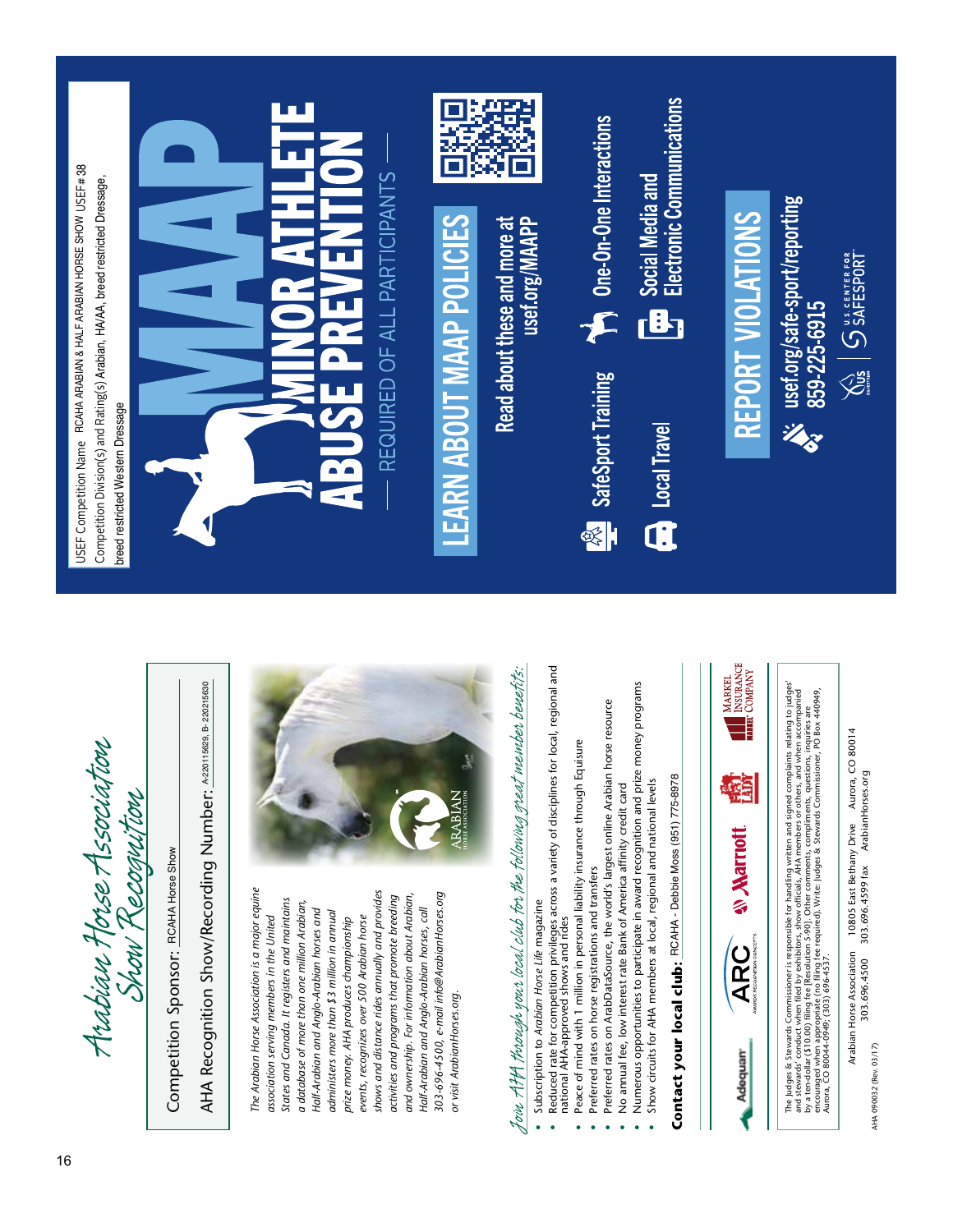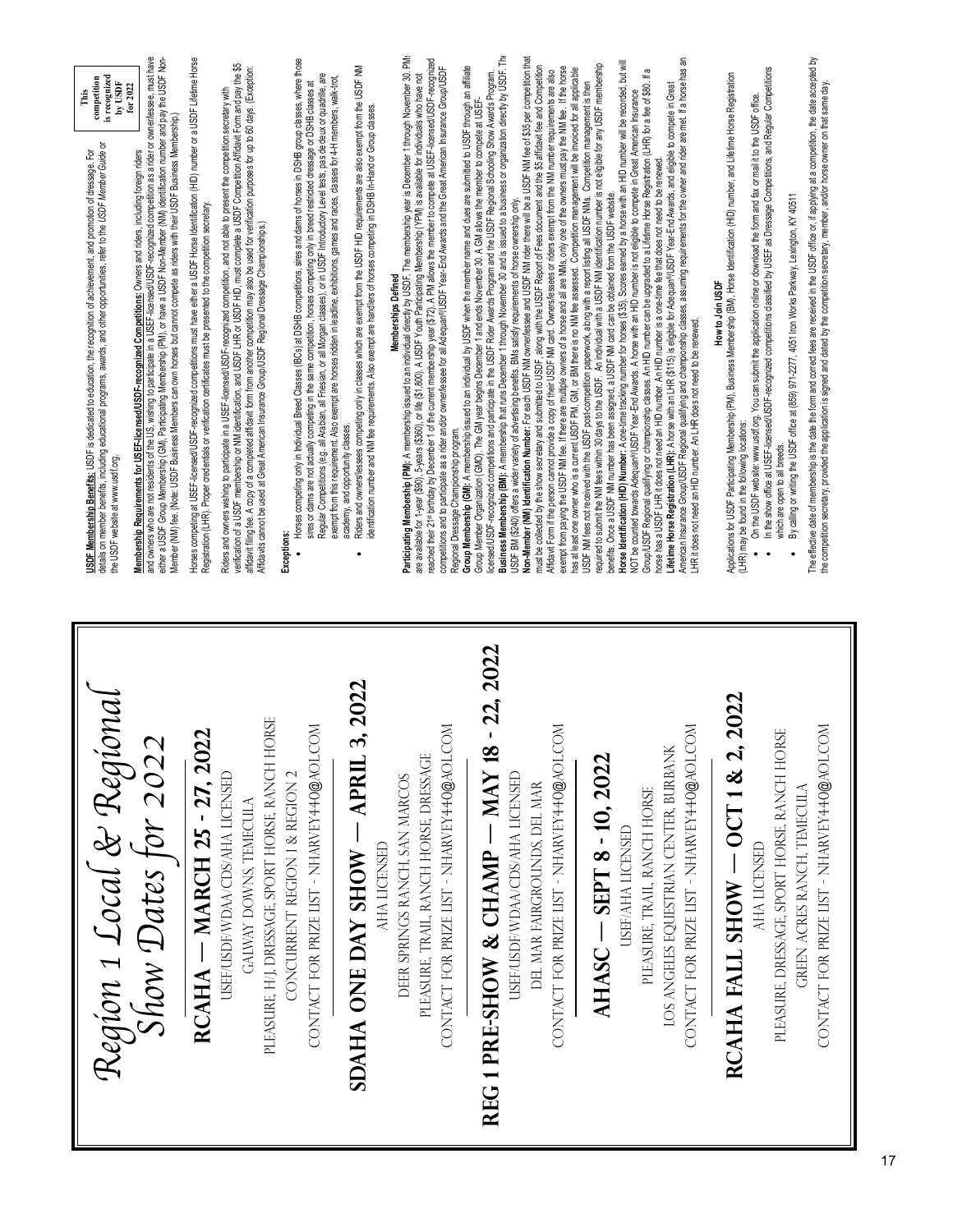| is recognized<br>competition<br>$by$ USDF<br>for $2022$<br>This<br>details on member benefits, including educational programs, awards, and other opportunities, refer to the USDF Member Guide or<br>Membership Requirements for USEF-licensed/USDF-recognized Competitions: Owners and riders, including foreign riders<br>ᅙ<br>USDF Membership Benefits: USDF is dedicated to education, the recognition of achievement, and promotion of dressage.<br>the USDF website at www.usdf.org | and owners who are not residents of the US, wishing to participate in a USEF-licensed/USDF-recognized competition as a rider or owner/lessee, must have<br>either a USDF Group Membership (GM), Participating Membership (PM), or have a USDF Nor-Member (NM) identification number and pay the USDF Non-<br>Member (NM) fee. (Note: USDF Business Members can own horses but cannot compete as riders with their USDF Business Membership.) | Horses competing at USEF-licensed/USDF-recognized competitions must have either a USDF Horse Identification (HID) number or a USDF Lifetime Horse<br>Registration (LHR). Proper credentials or verification certificates must be presented to the competition secretary | verification of a USDF membership or NM identification, and USDF LHR or USDF HID, must complete a USDF Competition Affidavit Form and pay the \$5<br>affidavit filing fee. A copy of a completed affidavit form from another competition may also be used for verification purposes for up to 60 days. (Exception:<br>Riders and owners wishing to participate in a USEF-licensed/USDF-recognized competition, and not able to present the competition secretary with<br>Affidavits cannot be used at Great American Insurance Group/USDF Regional Dressage Championships.) | Horses competing only in Individual Breed Classes (IBCs) at DSHB competitions, sires and dams of horses in DSHB group classes, where those<br>exempt from this requirement. Also exempt are horses ridden in leadline, exhibitions, games and races, classes for 4-H members, walk-trot,<br>sires or dams are not actually competing in the same competition, horses competing only in breed restricted dressage or DSHB classes at<br>Regular Competitions (e.g. all Arabian, all Friesian, or all Morgan dasses), or in USDF Introductory Level tests, pas de deux or quadrille,<br>Exceptions:<br>$\bullet$ | Riders and owners/lessees competing only in classes which are exempt from the USDF HID requirements are also exempt from the USDF NM<br>identification number and NM fee requirements. Also exempt are handlers of horses competing in DSHB In-Hand or Group dasses.<br>academy, and opportunity classes. | Participating Membership (PM); A membership issued to an individual directly by USDF. The membership year is December 1 through November 30. PMs<br>reached their 21* birthday by December 1 of the current membership year (\$72). A FM allows the member to compete at USEF-licensedUSDF-recognized<br>Group Membership (GM): A membership issued to an individual by USDF when the member name and dues are submitted to USDF through an affiliate<br>competitions and to participate as a rider and/or owner/lessee for all Adequare/USDF Year-End Awards and the Great American Insurance Group/USDF<br>are available for 1-year (\$90), 5-years (\$360), or life (\$1,800). A USDF Youth Participating Membership (YPM) is available for individuals who have not<br>Memberships Defined<br>Regional Dressage Championship program. | Business Membership (BM): A membership that runs December 1 through November 30 and is issued to a business or organization directly by USDF. The<br>Non-Member (NM) Identification Number: For each USDF NM ownerlessee and USDF NM rider there will be a USDF NM fee of \$35 per competition that<br>must be collected by the show secretary and submitted to USDF, along with the USDF Report of Fees document and the \$5 affidavit fee and Competition<br>exempt from paying the USDF NM fee. If there are multiple owners of a horse and all are MMs, only one of the owners must pay the NM fee. If the horse<br>has at least one owner who is a current USDF PM, GM, or BM there is no NM fee assessed. Competition management will be invoiced for all applicable<br>Affidavit Form if the person cannot provide a copy of their USDF NM card. Owners/lessees or riders exempt from the NM number requirements are also<br>licensedUSDF-recognized competitions and participate in the USDF Rider Awards Program and the USDF Regional Schooling Show Awards Program.<br>Group Member Organization (GMO). The GM year begins December 1 and ends November 30. A GM allows the member to compete at USEF<br>USDF BM (\$240) offers a wider variety of advertising benefits. BMs satisfy requirements of horse ownership only. | American Insurance Group/USDF Regional qualifying and championship classes, assuming requirements for the owner and rider are met. If a horse has an<br>Horse Identification (HID) Number: A one-time tracking number for horses (\$35). Scores earned by a horse with an HID number will be recorded, but will<br>required to submit the NM fees within 30 days to the USDF. An individual with a USDF NM identification number is not eligible for any USDF membership<br>e,<br>Group/USDF Regional qualifying or championship classes. An HID number can be upgraded to a Lifetime Horse Registration (LHR) for a fee of \$80.<br>Lifetime Horse Registration (LHR): A horse with an LHR (\$115) is eligible for Adequan®/USDF Year-End Awards, and eligible to compete in Great<br>USDF NM fees not received with the USDF post-competition paperwork, along with a report listing all USDF NMs. Competition management is then<br>NOT be counted towards Adequan®USDF Year-End Awards. A horse with an HID number is not eligible to compete in Great American Insurance<br>horse has a USDF LHR it does not need an HID number. An HID number is a one-time fee that does not need to be renewed<br>benefits. Once a USDF NM number has been assigned, a USDF NM card can be obtained from the USDF website.<br>LHR it does not need an HID number. An LHR does not need to be renewed. | The effective date of membership is the date the form and correct fees are received in the USDF office or, if applying at a competition, the date accepted by<br>In the show office at USEF-licensed/USDF-recognized competitions classified by USEF as Dressage Competitions, and Regular Competitions<br>Applications for USDF Participating Membership (PM), Business Membership (BM), Horse Identification (HID) number, and Lifetime Horse Registration<br>the competition secretary, provided the application is signed and dated by the competition secretary, member, and/or horse owner on that same day<br>On the USDF website: www.usdf.org. You can submit the application online or download the form and fax or mail it to the USDF office.<br>By calling or writing the USDF office at (859) 971-2277, 4051 Iron Works Parkway, Lexington, KY 40511<br>How to Join USDF<br>(LHR) may be found in the following locations:<br>which are open to all breeds. |
|-------------------------------------------------------------------------------------------------------------------------------------------------------------------------------------------------------------------------------------------------------------------------------------------------------------------------------------------------------------------------------------------------------------------------------------------------------------------------------------------|----------------------------------------------------------------------------------------------------------------------------------------------------------------------------------------------------------------------------------------------------------------------------------------------------------------------------------------------------------------------------------------------------------------------------------------------|-------------------------------------------------------------------------------------------------------------------------------------------------------------------------------------------------------------------------------------------------------------------------|-----------------------------------------------------------------------------------------------------------------------------------------------------------------------------------------------------------------------------------------------------------------------------------------------------------------------------------------------------------------------------------------------------------------------------------------------------------------------------------------------------------------------------------------------------------------------------|----------------------------------------------------------------------------------------------------------------------------------------------------------------------------------------------------------------------------------------------------------------------------------------------------------------------------------------------------------------------------------------------------------------------------------------------------------------------------------------------------------------------------------------------------------------------------------------------------------------|-----------------------------------------------------------------------------------------------------------------------------------------------------------------------------------------------------------------------------------------------------------------------------------------------------------|-------------------------------------------------------------------------------------------------------------------------------------------------------------------------------------------------------------------------------------------------------------------------------------------------------------------------------------------------------------------------------------------------------------------------------------------------------------------------------------------------------------------------------------------------------------------------------------------------------------------------------------------------------------------------------------------------------------------------------------------------------------------------------------------------------------------------------------------|---------------------------------------------------------------------------------------------------------------------------------------------------------------------------------------------------------------------------------------------------------------------------------------------------------------------------------------------------------------------------------------------------------------------------------------------------------------------------------------------------------------------------------------------------------------------------------------------------------------------------------------------------------------------------------------------------------------------------------------------------------------------------------------------------------------------------------------------------------------------------------------------------------------------------------------------------------------------------------------------------------------------------------------------------------------------------------------------------------------------------------------------------------------------------------------------------------------------------------------------------------------------------------------------------------------------------------------|-----------------------------------------------------------------------------------------------------------------------------------------------------------------------------------------------------------------------------------------------------------------------------------------------------------------------------------------------------------------------------------------------------------------------------------------------------------------------------------------------------------------------------------------------------------------------------------------------------------------------------------------------------------------------------------------------------------------------------------------------------------------------------------------------------------------------------------------------------------------------------------------------------------------------------------------------------------------------------------------------------------------------------------------------------------------------------------------------------------------------------------------------------------------------------------------------------------------------------------------------------------------------------------------------------------------------------------------------------------------------------------------------|---------------------------------------------------------------------------------------------------------------------------------------------------------------------------------------------------------------------------------------------------------------------------------------------------------------------------------------------------------------------------------------------------------------------------------------------------------------------------------------------------------------------------------------------------------------------------------------------------------------------------------------------------------------------------------------------------------------------------------------------------------------------------------------------------------------------------------------------------------------------------------------------------------------------------------------------------------------------------|
| Region 1 Local & Regional                                                                                                                                                                                                                                                                                                                                                                                                                                                                 | Show Dates for 2022                                                                                                                                                                                                                                                                                                                                                                                                                          | $RCAHA$ – MARCH 25 - 27, 2022                                                                                                                                                                                                                                           | PLEASURE, HJ, DRESSAGE, SPORT HORSE, RANCH HORSE<br>USEF/USDF/WDAA/CDS/AHA LICENSED<br>GALWAY DOWNS, TEMECULA                                                                                                                                                                                                                                                                                                                                                                                                                                                               | $\overline{\mathbb{R}}$<br>CONTACT FOR PRIZE LIST - NHARVEY440@AOL.C<br>CONCURRENT REGION 1 & REGION 2                                                                                                                                                                                                                                                                                                                                                                                                                                                                                                         | 3, 2022<br>$-$ APRIL<br>AHA LICENSED<br>SDAHA ONE DAY SHOW                                                                                                                                                                                                                                                | δ<br>CONTACT FOR PRIZE LIST - NHARVEY 440@AOL.C<br>PLEASURE, TRAIL, RANCH HORSE, DRESSAGE<br>DEER SPRINGS RANCH, SAN MARCOS                                                                                                                                                                                                                                                                                                                                                                                                                                                                                                                                                                                                                                                                                                               | 22, 2022<br>$\overline{\rm M}$<br>REG 1 PRE-SHOW & CHAMP - MAY 18<br>CONTACT FOR PRIZE LIST - NHARVEY 440@AOL.C<br>USEF/USDF/WDAA/CDS/AHA LICENSED<br>DEL MAR FAIRGROUNDS, DEL MAR                                                                                                                                                                                                                                                                                                                                                                                                                                                                                                                                                                                                                                                                                                                                                                                                                                                                                                                                                                                                                                                                                                                                                    | δ<br>LOS ANGELES EQUESTRIAN CENTER, BURBANK<br>CONTACT FOR PRIZE LIST - NHARVEY440@AOL.C<br>AHASC - SEPT 8 - 10, 2022<br>PLEASURE, TRAIL, RANCH HORSE<br><b>USEF/AHA LICENSED</b>                                                                                                                                                                                                                                                                                                                                                                                                                                                                                                                                                                                                                                                                                                                                                                                                                                                                                                                                                                                                                                                                                                                                                                                                             | 2022<br>CONTACT FOR PRIZE LIST - NHARVEY 440@AOL.COM<br>PLEASURE, DRESSAGE, SPORT HORSE, RANCH HORSE<br>RCAHA FALL SHOW - OCT 1 & 2,<br>GREEN ACRES RANCH, TEMECULA<br>AHA LICENSED                                                                                                                                                                                                                                                                                                                                                                                                                                                                                                                                                                                                                                                                                                                                                                                       |

ı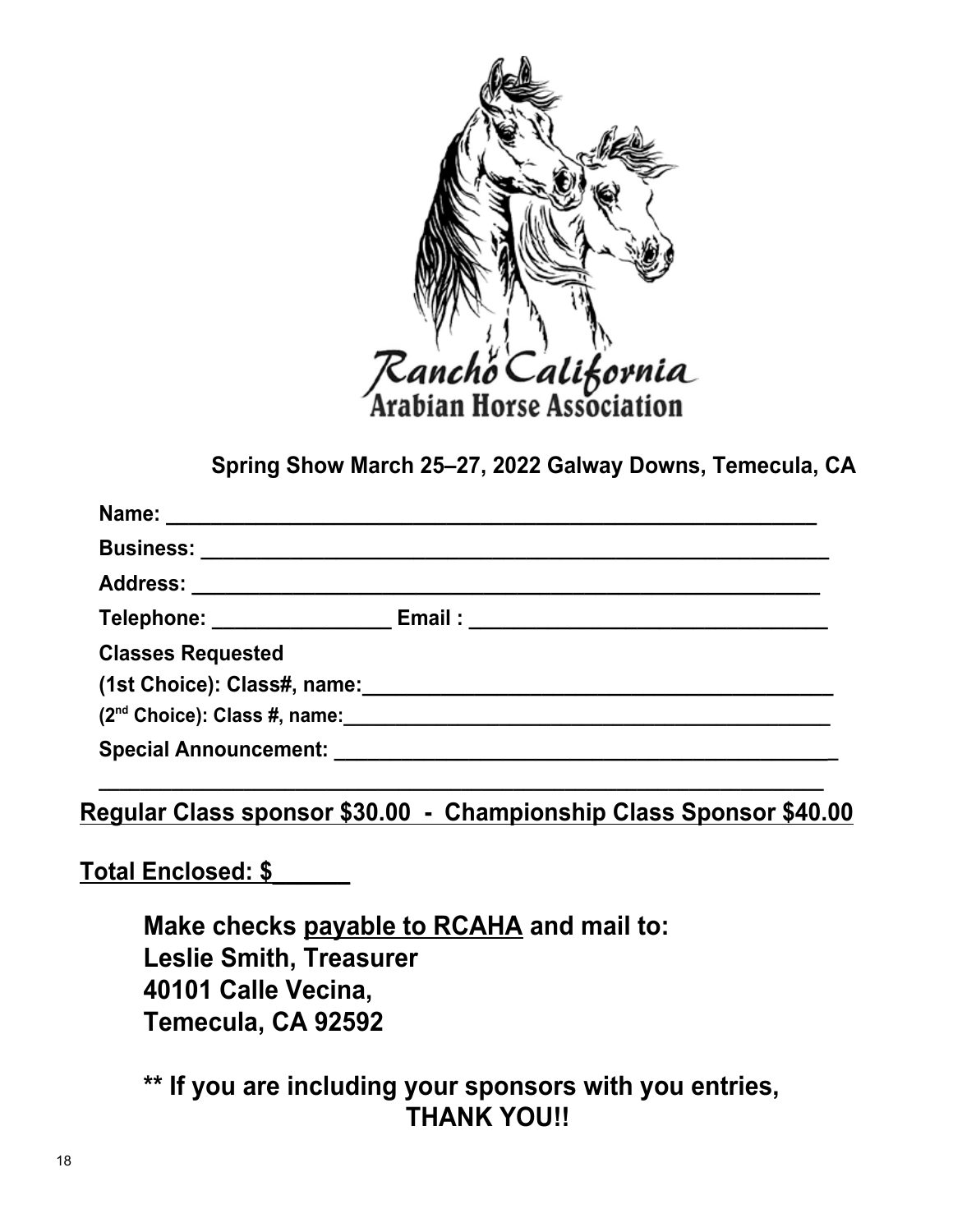

**Spring Show March 25–27, 2022 Galway Downs, Temecula, CA**

| Business: ________________________                                                                                                                                                                                             |  |
|--------------------------------------------------------------------------------------------------------------------------------------------------------------------------------------------------------------------------------|--|
|                                                                                                                                                                                                                                |  |
| Telephone: _______________                                                                                                                                                                                                     |  |
| <b>Classes Requested</b>                                                                                                                                                                                                       |  |
| (1st Choice): Class#, name: \\square \\square \\square \\square \\square \\square \\square \\square \\square \\square \\square \\square \\square \\square \\square \\square \\square \\square \\square \\square \\square \\squ |  |
| $(2^{nd}$ Choice): Class #, name:                                                                                                                                                                                              |  |
| Special Announcement: Special Announcement:                                                                                                                                                                                    |  |

**Regular Class sponsor \$30.00 - Championship Class Sponsor \$40.00**

**\_\_\_\_\_\_\_\_\_\_\_\_\_\_\_\_\_\_\_\_\_\_\_\_\_\_\_\_\_\_\_\_\_\_\_\_\_\_\_\_\_\_\_\_\_\_\_\_\_\_\_\_\_\_\_\_\_\_\_\_\_\_\_\_\_\_\_\_\_\_**

**Total Enclosed: \$\_\_\_\_\_\_**

**Make checks payable to RCAHA and mail to: Leslie Smith, Treasurer 40101 Calle Vecina, Temecula, CA 92592**

**\*\* If you are including your sponsors with you entries, THANK YOU!!**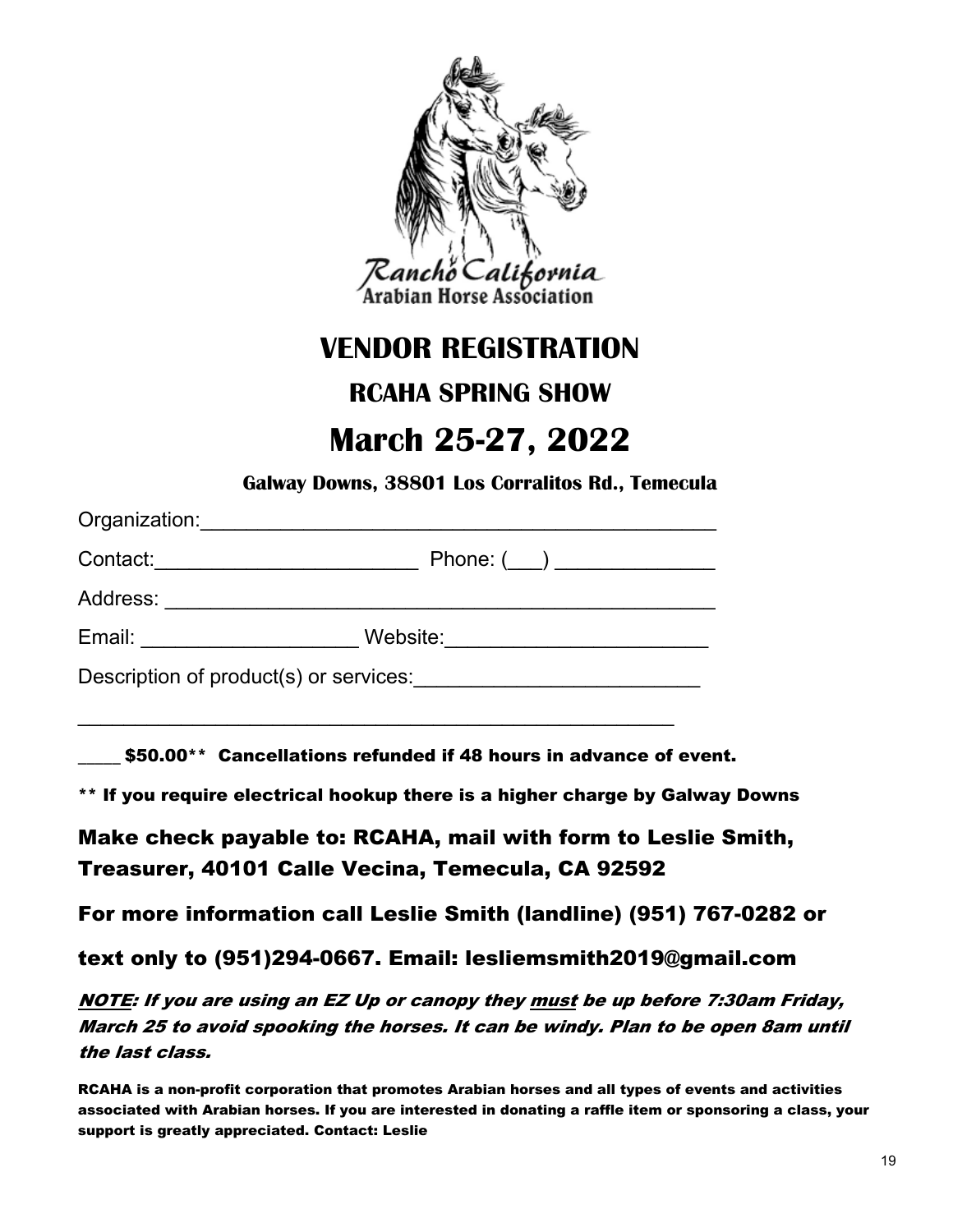

## **VENDOR REGISTRATION**

## **RCAHA SPRING SHOW**

## **March 25-27, 2022**

**Galway Downs, 38801 Los Corralitos Rd., Temecula**

| Organization:                          |                 |  |  |  |
|----------------------------------------|-----------------|--|--|--|
| Contact:                               | Phone: $(\_\_)$ |  |  |  |
| Address:                               |                 |  |  |  |
| Email: Email:                          | Website:        |  |  |  |
| Description of product(s) or services: |                 |  |  |  |

\_\_\_\_\_\_\_\_\_\_\_\_\_\_\_\_\_\_\_\_\_\_\_\_\_\_\_\_\_\_\_\_\_\_\_\_\_\_\_\_\_\_\_\_\_\_\_\_\_\_\_\_

\$50.00\*\* Cancellations refunded if 48 hours in advance of event.

\*\* If you require electrical hookup there is a higher charge by Galway Downs

Make check payable to: RCAHA, mail with form to Leslie Smith, Treasurer, 40101 Calle Vecina, Temecula, CA 92592

For more information call Leslie Smith (landline) (951) 767-0282 or

text only to (951)294-0667. Email: lesliemsmith2019@gmail.com

NOTE: If you are using an EZ Up or canopy they must be up before 7:30am Friday, March 25 to avoid spooking the horses. It can be windy. Plan to be open 8am until the last class.

RCAHA is a non-profit corporation that promotes Arabian horses and all types of events and activities associated with Arabian horses. If you are interested in donating a raffle item or sponsoring a class, your support is greatly appreciated. Contact: Leslie